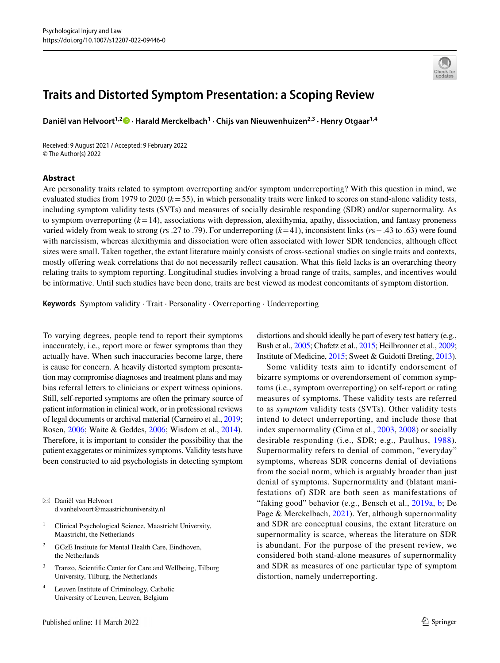

# **Traits and Distorted Symptom Presentation: a Scoping Review**

Daniël van Helvoort<sup>1,2</sup><sup>®</sup> [·](http://orcid.org/0000-0002-1354-2402) Harald Merckelbach<sup>1</sup> · Chijs van Nieuwenhuizen<sup>2,3</sup> · Henry Otgaar<sup>1,4</sup>

Received: 9 August 2021 / Accepted: 9 February 2022 © The Author(s) 2022

### **Abstract**

Are personality traits related to symptom overreporting and/or symptom underreporting? With this question in mind, we evaluated studies from 1979 to 2020 (*k*=55), in which personality traits were linked to scores on stand-alone validity tests, including symptom validity tests (SVTs) and measures of socially desirable responding (SDR) and/or supernormality. As to symptom overreporting  $(k=14)$ , associations with depression, alexithymia, apathy, dissociation, and fantasy proneness varied widely from weak to strong (*r*s .27 to .79). For underreporting (*k*=41), inconsistent links (*r*s−.43 to .63) were found with narcissism, whereas alexithymia and dissociation were often associated with lower SDR tendencies, although effect sizes were small. Taken together, the extant literature mainly consists of cross-sectional studies on single traits and contexts, mostly offering weak correlations that do not necessarily reflect causation. What this field lacks is an overarching theory relating traits to symptom reporting. Longitudinal studies involving a broad range of traits, samples, and incentives would be informative. Until such studies have been done, traits are best viewed as modest concomitants of symptom distortion.

**Keywords** Symptom validity · Trait · Personality · Overreporting · Underreporting

To varying degrees, people tend to report their symptoms inaccurately, i.e., report more or fewer symptoms than they actually have. When such inaccuracies become large, there is cause for concern. A heavily distorted symptom presentation may compromise diagnoses and treatment plans and may bias referral letters to clinicians or expert witness opinions. Still, self-reported symptoms are often the primary source of patient information in clinical work, or in professional reviews of legal documents or archival material (Carneiro et al., [2019](#page-15-0); Rosen, [2006;](#page-18-0) Waite & Geddes, [2006](#page-19-0); Wisdom et al., [2014](#page-20-0)). Therefore, it is important to consider the possibility that the patient exaggerates or minimizes symptoms. Validity tests have been constructed to aid psychologists in detecting symptom

 $\boxtimes$  Daniël van Helvoort d.vanhelvoort@maastrichtuniversity.nl

- <sup>1</sup> Clinical Psychological Science, Maastricht University, Maastricht, the Netherlands
- <sup>2</sup> GGzE Institute for Mental Health Care, Eindhoven, the Netherlands
- <sup>3</sup> Tranzo, Scientifc Center for Care and Wellbeing, Tilburg University, Tilburg, the Netherlands
- <sup>4</sup> Leuven Institute of Criminology, Catholic University of Leuven, Leuven, Belgium

distortions and should ideally be part of every test battery (e.g., Bush et al., [2005;](#page-15-1) Chafetz et al., [2015](#page-15-2); Heilbronner et al., [2009](#page-16-0); Institute of Medicine, [2015](#page-17-0); Sweet & Guidotti Breting, [2013\)](#page-19-1).

Some validity tests aim to identify endorsement of bizarre symptoms or overendorsement of common symptoms (i.e., symptom overreporting) on self-report or rating measures of symptoms. These validity tests are referred to as *symptom* validity tests (SVTs). Other validity tests intend to detect underreporting, and include those that index supernormality (Cima et al., [2003](#page-15-3), [2008\)](#page-15-4) or socially desirable responding (i.e., SDR; e.g., Paulhus, [1988](#page-18-1)). Supernormality refers to denial of common, "everyday" symptoms, whereas SDR concerns denial of deviations from the social norm, which is arguably broader than just denial of symptoms. Supernormality and (blatant manifestations of) SDR are both seen as manifestations of "faking good" behavior (e.g., Bensch et al., [2019a](#page-15-5), [b;](#page-15-6) De Page & Merckelbach, [2021](#page-16-1)). Yet, although supernormality and SDR are conceptual cousins, the extant literature on supernormality is scarce, whereas the literature on SDR is abundant. For the purpose of the present review, we considered both stand-alone measures of supernormality and SDR as measures of one particular type of symptom distortion, namely underreporting.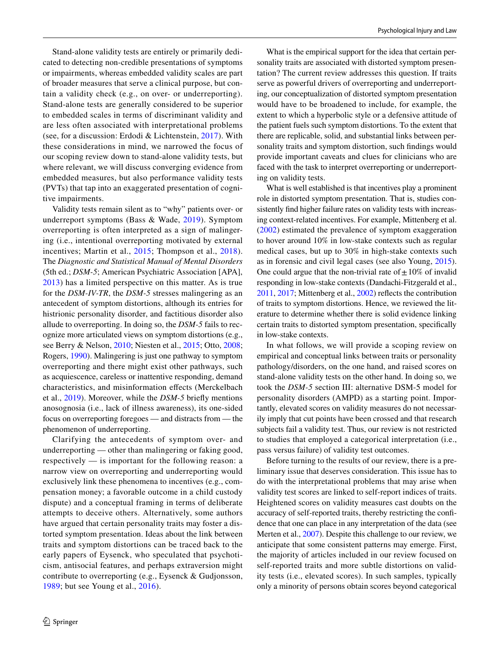Stand-alone validity tests are entirely or primarily dedicated to detecting non-credible presentations of symptoms or impairments, whereas embedded validity scales are part of broader measures that serve a clinical purpose, but contain a validity check (e.g., on over- or underreporting). Stand-alone tests are generally considered to be superior to embedded scales in terms of discriminant validity and are less often associated with interpretational problems (see, for a discussion: Erdodi & Lichtenstein, [2017](#page-16-2)). With these considerations in mind, we narrowed the focus of our scoping review down to stand-alone validity tests, but where relevant, we will discuss converging evidence from embedded measures, but also performance validity tests (PVTs) that tap into an exaggerated presentation of cognitive impairments.

Validity tests remain silent as to "why" patients over- or underreport symptoms (Bass & Wade, [2019](#page-14-0)). Symptom overreporting is often interpreted as a sign of malingering (i.e., intentional overreporting motivated by external incentives; Martin et al., [2015](#page-17-1); Thompson et al., [2018](#page-19-2)). The *Diagnostic and Statistical Manual of Mental Disorders* (5th ed.; *DSM-5*; American Psychiatric Association [APA], [2013\)](#page-14-1) has a limited perspective on this matter. As is true for the *DSM-IV-TR*, the *DSM-5* stresses malingering as an antecedent of symptom distortions, although its entries for histrionic personality disorder, and factitious disorder also allude to overreporting. In doing so, the *DSM-5* fails to recognize more articulated views on symptom distortions (e.g., see Berry & Nelson, [2010;](#page-15-7) Niesten et al., [2015](#page-18-2); Otto, [2008](#page-18-3); Rogers, [1990\)](#page-18-4). Malingering is just one pathway to symptom overreporting and there might exist other pathways, such as acquiescence, careless or inattentive responding, demand characteristics, and misinformation efects (Merckelbach et al., [2019\)](#page-17-2). Moreover, while the *DSM-5* briefy mentions anosognosia (i.e., lack of illness awareness), its one-sided focus on overreporting foregoes — and distracts from — the phenomenon of underreporting.

Clarifying the antecedents of symptom over- and underreporting — other than malingering or faking good, respectively — is important for the following reason: a narrow view on overreporting and underreporting would exclusively link these phenomena to incentives (e.g., compensation money; a favorable outcome in a child custody dispute) and a conceptual framing in terms of deliberate attempts to deceive others. Alternatively, some authors have argued that certain personality traits may foster a distorted symptom presentation. Ideas about the link between traits and symptom distortions can be traced back to the early papers of Eysenck, who speculated that psychoticism, antisocial features, and perhaps extraversion might contribute to overreporting (e.g., Eysenck & Gudjonsson, [1989;](#page-16-3) but see Young et al., [2016\)](#page-20-1).

What is the empirical support for the idea that certain personality traits are associated with distorted symptom presentation? The current review addresses this question. If traits serve as powerful drivers of overreporting and underreporting, our conceptualization of distorted symptom presentation would have to be broadened to include, for example, the extent to which a hyperbolic style or a defensive attitude of the patient fuels such symptom distortions. To the extent that there are replicable, solid, and substantial links between personality traits and symptom distortion, such fndings would provide important caveats and clues for clinicians who are faced with the task to interpret overreporting or underreporting on validity tests.

What is well established is that incentives play a prominent role in distorted symptom presentation. That is, studies consistently fnd higher failure rates on validity tests with increasing context-related incentives. For example, Mittenberg et al. ([2002\)](#page-18-5) estimated the prevalence of symptom exaggeration to hover around 10% in low-stake contexts such as regular medical cases, but up to 30% in high-stake contexts such as in forensic and civil legal cases (see also Young, [2015](#page-20-2)). One could argue that the non-trivial rate of  $\pm 10\%$  of invalid responding in low-stake contexts (Dandachi-Fitzgerald et al., [2011,](#page-16-4) [2017](#page-16-5); Mittenberg et al., [2002\)](#page-18-5) refects the contribution of traits to symptom distortions. Hence, we reviewed the literature to determine whether there is solid evidence linking certain traits to distorted symptom presentation, specifcally in low-stake contexts.

In what follows, we will provide a scoping review on empirical and conceptual links between traits or personality pathology/disorders, on the one hand, and raised scores on stand-alone validity tests on the other hand. In doing so, we took the *DSM-5* section III: alternative DSM-5 model for personality disorders (AMPD) as a starting point. Importantly, elevated scores on validity measures do not necessarily imply that cut points have been crossed and that research subjects fail a validity test. Thus, our review is not restricted to studies that employed a categorical interpretation (i.e., pass versus failure) of validity test outcomes.

Before turning to the results of our review, there is a preliminary issue that deserves consideration. This issue has to do with the interpretational problems that may arise when validity test scores are linked to self-report indices of traits. Heightened scores on validity measures cast doubts on the accuracy of self-reported traits, thereby restricting the confdence that one can place in any interpretation of the data (see Merten et al., [2007](#page-17-3)). Despite this challenge to our review, we anticipate that some consistent patterns may emerge. First, the majority of articles included in our review focused on self-reported traits and more subtle distortions on validity tests (i.e., elevated scores). In such samples, typically only a minority of persons obtain scores beyond categorical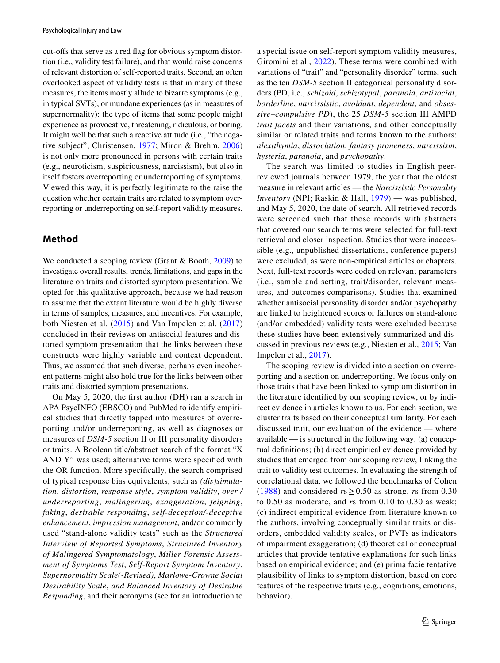cut-ofs that serve as a red fag for obvious symptom distortion (i.e., validity test failure), and that would raise concerns of relevant distortion of self-reported traits. Second, an often overlooked aspect of validity tests is that in many of these measures, the items mostly allude to bizarre symptoms (e.g., in typical SVTs), or mundane experiences (as in measures of supernormality): the type of items that some people might experience as provocative, threatening, ridiculous, or boring. It might well be that such a reactive attitude (i.e., "the negative subject"; Christensen, [1977](#page-15-8); Miron & Brehm, [2006\)](#page-18-6) is not only more pronounced in persons with certain traits (e.g., neuroticism, suspiciousness, narcissism), but also in itself fosters overreporting or underreporting of symptoms. Viewed this way, it is perfectly legitimate to the raise the question whether certain traits are related to symptom overreporting or underreporting on self-report validity measures.

# **Method**

We conducted a scoping review (Grant & Booth, [2009](#page-16-6)) to investigate overall results, trends, limitations, and gaps in the literature on traits and distorted symptom presentation. We opted for this qualitative approach, because we had reason to assume that the extant literature would be highly diverse in terms of samples, measures, and incentives. For example, both Niesten et al. [\(2015\)](#page-18-2) and Van Impelen et al. [\(2017\)](#page-19-3) concluded in their reviews on antisocial features and distorted symptom presentation that the links between these constructs were highly variable and context dependent. Thus, we assumed that such diverse, perhaps even incoherent patterns might also hold true for the links between other traits and distorted symptom presentations.

On May 5, 2020, the frst author (DH) ran a search in APA PsycINFO (EBSCO) and PubMed to identify empirical studies that directly tapped into measures of overreporting and/or underreporting, as well as diagnoses or measures of *DSM-5* section II or III personality disorders or traits. A Boolean title/abstract search of the format "X AND Y" was used; alternative terms were specifed with the OR function. More specifcally, the search comprised of typical response bias equivalents, such as *(dis)simulation*, *distortion*, *response style*, *symptom validity*, *over-/ underreporting*, *malingering*, *exaggeration*, *feigning*, *faking*, *desirable responding*, *self-deception/-deceptive enhancement*, *impression management*, and/or commonly used "stand-alone validity tests" such as the *Structured Interview of Reported Symptoms*, *Structured Inventory of Malingered Symptomatology*, *Miller Forensic Assessment of Symptoms Test*, *Self-Report Symptom Inventory*, *Supernormality Scale(-Revised)*, *Marlowe-Crowne Social Desirability Scale*, *and Balanced Inventory of Desirable Responding*, and their acronyms (see for an introduction to

a special issue on self-report symptom validity measures, Giromini et al., [2022\)](#page-16-7). These terms were combined with variations of "trait" and "personality disorder" terms, such as the ten *DSM-5* section II categorical personality disorders (PD, i.e., *schizoid*, *schizotypal*, *paranoid*, *antisocial*, *borderline*, *narcissistic*, *avoidant*, *dependent*, and *obsessive–compulsive PD*), the 25 *DSM-5* section III AMPD *trait facets* and their variations, and other conceptually similar or related traits and terms known to the authors: *alexithymia*, *dissociation*, *fantasy proneness*, *narcissism*, *hysteria*, *paranoia*, and *psychopathy*.

The search was limited to studies in English peerreviewed journals between 1979, the year that the oldest measure in relevant articles — the *Narcissistic Personality Inventory* (NPI; Raskin & Hall, [1979\)](#page-18-7) — was published, and May 5, 2020, the date of search. All retrieved records were screened such that those records with abstracts that covered our search terms were selected for full-text retrieval and closer inspection. Studies that were inaccessible (e.g., unpublished dissertations, conference papers) were excluded, as were non-empirical articles or chapters. Next, full-text records were coded on relevant parameters (i.e., sample and setting, trait/disorder, relevant measures, and outcomes comparisons). Studies that examined whether antisocial personality disorder and/or psychopathy are linked to heightened scores or failures on stand-alone (and/or embedded) validity tests were excluded because these studies have been extensively summarized and discussed in previous reviews (e.g., Niesten et al., [2015;](#page-18-2) Van Impelen et al., [2017](#page-19-3)).

The scoping review is divided into a section on overreporting and a section on underreporting. We focus only on those traits that have been linked to symptom distortion in the literature identifed by our scoping review, or by indirect evidence in articles known to us. For each section, we cluster traits based on their conceptual similarity. For each discussed trait, our evaluation of the evidence — where available — is structured in the following way: (a) conceptual defnitions; (b) direct empirical evidence provided by studies that emerged from our scoping review, linking the trait to validity test outcomes. In evaluating the strength of correlational data, we followed the benchmarks of Cohen ([1988\)](#page-15-9) and considered  $rs \ge 0.50$  as strong, *rs* from 0.30 to 0.50 as moderate, and *r*s from 0.10 to 0.30 as weak; (c) indirect empirical evidence from literature known to the authors, involving conceptually similar traits or disorders, embedded validity scales, or PVTs as indicators of impairment exaggeration; (d) theoretical or conceptual articles that provide tentative explanations for such links based on empirical evidence; and (e) prima facie tentative plausibility of links to symptom distortion, based on core features of the respective traits (e.g., cognitions, emotions, behavior).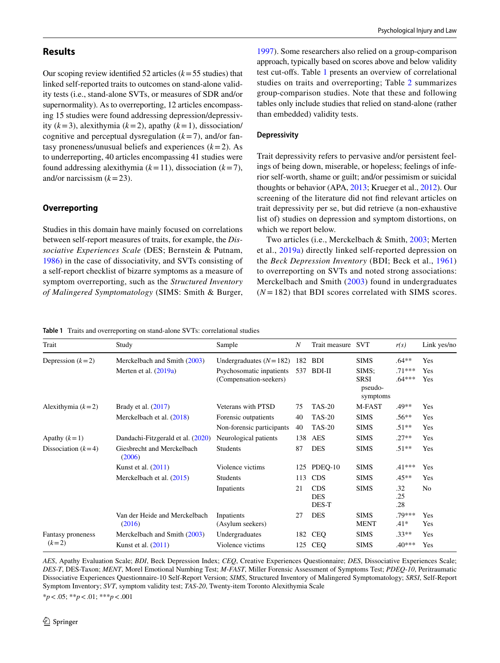## **Results**

Our scoping review identifed 52 articles (*k*=55 studies) that linked self-reported traits to outcomes on stand-alone validity tests (i.e., stand-alone SVTs, or measures of SDR and/or supernormality). As to overreporting, 12 articles encompassing 15 studies were found addressing depression/depressivity (*k*=3), alexithymia (*k*=2), apathy (*k*=1), dissociation/ cognitive and perceptual dysregulation  $(k=7)$ , and/or fantasy proneness/unusual beliefs and experiences  $(k=2)$ . As to underreporting, 40 articles encompassing 41 studies were found addressing alexithymia  $(k=11)$ , dissociation  $(k=7)$ , and/or narcissism  $(k=23)$ .

## **Overreporting**

Studies in this domain have mainly focused on correlations between self-report measures of traits, for example, the *Dissociative Experiences Scale* (DES; Bernstein & Putnam, [1986](#page-15-10)) in the case of dissociativity, and SVTs consisting of a self-report checklist of bizarre symptoms as a measure of symptom overreporting, such as the *Structured Inventory of Malingered Symptomatology* (SIMS: Smith & Burger,

[1997](#page-19-4)). Some researchers also relied on a group-comparison approach, typically based on scores above and below validity test cut-ofs. Table [1](#page-3-0) presents an overview of correlational studies on traits and overreporting; Table [2](#page-4-0) summarizes group-comparison studies. Note that these and following tables only include studies that relied on stand-alone (rather than embedded) validity tests.

#### **Depressivity**

Trait depressivity refers to pervasive and/or persistent feelings of being down, miserable, or hopeless; feelings of inferior self-worth, shame or guilt; and/or pessimism or suicidal thoughts or behavior (APA, [2013](#page-14-1); Krueger et al., [2012\)](#page-17-4). Our screening of the literature did not fnd relevant articles on trait depressivity per se, but did retrieve (a non-exhaustive list of) studies on depression and symptom distortions, on which we report below.

Two articles (i.e., Merckelbach & Smith, [2003;](#page-17-5) Merten et al., [2019a](#page-17-6)) directly linked self-reported depression on the *Beck Depression Inventory* (BDI; Beck et al., [1961\)](#page-14-2) to overreporting on SVTs and noted strong associations: Merckelbach and Smith ([2003\)](#page-17-5) found in undergraduates  $(N = 182)$  that BDI scores correlated with SIMS scores.

<span id="page-3-0"></span>**Table 1** Traits and overreporting on stand-alone SVTs: correlational studies

| Trait                | Study                                   | Sample                         | $\boldsymbol{N}$ | Trait measure | <b>SVT</b>                         | r(s)                 | Link yes/no |
|----------------------|-----------------------------------------|--------------------------------|------------------|---------------|------------------------------------|----------------------|-------------|
| Depression $(k=2)$   | Merckelbach and Smith (2003)            | Undergraduates $(N=182)$       | 182              | <b>BDI</b>    | <b>SIMS</b>                        | $.64**$              | Yes         |
|                      | Merten et al. $(2019a)$                 | Psychosomatic inpatients       | 537              | BDI-II        | SIMS:                              | $.71***$<br>$.64***$ | Yes         |
|                      |                                         | (Compensation-seekers)         |                  |               | <b>SRSI</b><br>pseudo-<br>symptoms |                      | Yes         |
| Alexithymia $(k=2)$  | Brady et al. $(2017)$                   | Veterans with PTSD             | 75               | <b>TAS-20</b> | M-FAST                             | .49**                | Yes         |
|                      | Merckelbach et al. (2018)               | Forensic outpatients           | 40               | <b>TAS-20</b> | <b>SIMS</b>                        | $.56**$              | Yes         |
|                      |                                         | Non-forensic participants      | 40               | <b>TAS-20</b> | <b>SIMS</b>                        | $.51**$              | Yes         |
| Apathy $(k=1)$       | Dandachi-Fitzgerald et al. (2020)       | Neurological patients          | 138              | AES           | <b>SIMS</b>                        | $.27**$              | Yes         |
| Dissociation $(k=4)$ | Giesbrecht and Merckelbach<br>(2006)    | <b>Students</b>                | 87               | <b>DES</b>    | <b>SIMS</b>                        | $.51**$              | Yes         |
|                      | Kunst et al. $(2011)$                   | Violence victims               | 125              | PDEQ-10       | <b>SIMS</b>                        | $.41***$             | Yes         |
|                      | Merckelbach et al. (2015)               | <b>Students</b>                | 113              | <b>CDS</b>    | <b>SIMS</b>                        | $.45**$              | Yes         |
|                      |                                         | Inpatients                     | 21               | <b>CDS</b>    | <b>SIMS</b>                        | .32                  | No          |
|                      |                                         |                                |                  | <b>DES</b>    |                                    | .25                  |             |
|                      |                                         |                                |                  | DES-T         |                                    | .28                  |             |
|                      | Van der Heide and Merckelbach<br>(2016) | Inpatients<br>(Asylum seekers) | 27               | <b>DES</b>    | <b>SIMS</b><br><b>MENT</b>         | .79***<br>$.41*$     | Yes<br>Yes  |
| Fantasy proneness    | Merckelbach and Smith (2003)            | Undergraduates                 | 182              | <b>CEQ</b>    | <b>SIMS</b>                        | $.33**$              | Yes         |
| $(k=2)$              | Kunst et al. $(2011)$                   | Violence victims               | 125              | CEQ           | <b>SIMS</b>                        | $.40***$             | Yes         |

*AES*, Apathy Evaluation Scale; *BDI*, Beck Depression Index; *CEQ*, Creative Experiences Questionnaire; *DES*, Dissociative Experiences Scale; *DES-T*, DES-Taxon; *MENT*, Morel Emotional Numbing Test; *M-FAST*, Miller Forensic Assessment of Symptoms Test; *PDEQ-10*, Peritraumatic Dissociative Experiences Questionnaire-10 Self-Report Version; *SIMS*, Structured Inventory of Malingered Symptomatology; *SRSI*, Self-Report Symptom Inventory; *SVT*, symptom validity test; *TAS-20*, Twenty-item Toronto Alexithymia Scale

\**p*<.05; \*\**p*<.01; \*\*\**p*<.001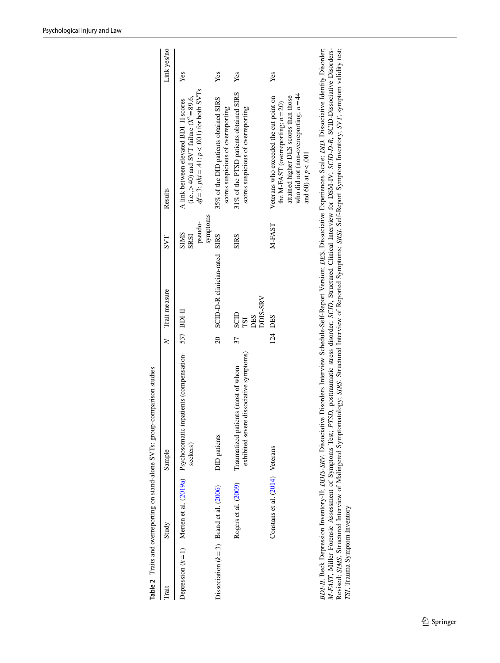| Trait | Study                                    | Sample                                                                                                  |         | N Trait measure                       | SVT                                        | Results                                                                                                                                                                                       | Link yes/no |
|-------|------------------------------------------|---------------------------------------------------------------------------------------------------------|---------|---------------------------------------|--------------------------------------------|-----------------------------------------------------------------------------------------------------------------------------------------------------------------------------------------------|-------------|
|       |                                          | Depression $(k=1)$ Merten et al. (2019a) Psychosomatic inpatients (compensation- 537 BDI-II<br>seekers) |         |                                       | symptoms<br>pseudo-<br><b>SIMS</b><br>SRSI | $df = 3$ ; $phi = .41$ ; $p < .001$ ) for both SVTs<br>(i.e., $> 40$ ) and SVT failure ( $X^2 = 89.6$ ,<br>A link between elevated BDI-II scores                                              | Yes         |
|       | Dissociation $(k=3)$ Brand et al. (2006) | <b>DID</b> patients                                                                                     | 20      | SCID-D-R clinician-rated              | <b>SIRS</b>                                | 35% of the DID patients obtained SIRS<br>scores suspicious of overreporting                                                                                                                   | Yes         |
|       | Rogers et al. (2009)                     | exhibited severe dissociative symptoms)<br>Traumatized patients (most of whom                           | 37      | DDIS-SRV<br>SCID<br>DES<br><b>ISI</b> | <b>SIRS</b>                                | 31% of the PTSD patients obtained SIRS<br>scores suspicious of overreporting                                                                                                                  | Yes         |
|       | Constans et al. (2014) Veterans          |                                                                                                         | 124 DES |                                       | M-FAST                                     | who did not (non-overreporting; $n = 44$<br>Veterans who exceeded the cut point on<br>attained higher DES scores than those<br>the M-FAST (overreporting; $n = 20$ )<br>and 60) at $p < .001$ | Yes         |
|       |                                          |                                                                                                         |         |                                       |                                            |                                                                                                                                                                                               |             |

<span id="page-4-0"></span>Table 2 Traits and overreporting on stand-alone SVTs: group-comparison studies **Table 2** Traits and overreporting on stand-alone SVTs: group-comparison studies

BDI-II, Beck Depression Inventory-II; DDIS-SRV, Dissociative Disorders Interview Schedule-Self-Report Version; DES, Dissociative Experiences Scale; DID, Dissociative Identity Disorder;<br>M-FAST, Miller Forensic Assessment of *BDI-II*, Beck Depression Inventory-II; *DDIS-SRV*, Dissociative Disorders Interview Schedule-Self-Report Version; *DES*, Dissociative Experiences Scale; *DID*, Dissociative Identity Disorder; Revised; *SIMS*, Structured Interview of Malingered Symptomatology; *SIRS*, Structured Interview of Reported Symptoms; *SRSI*, Self-Report Symptom Inventory; *SVT*, symptom validity test; *M-FAST*, Miller Forensic Assessment of Symptoms Test; *PTSD*, posttraumatic stress disorder; *SCID*, Structured Clinical Interview for DSM-IV; *SCID-D-R*, SCID-Dissociative Disorders-*TSI*, Trauma Symptom Inventory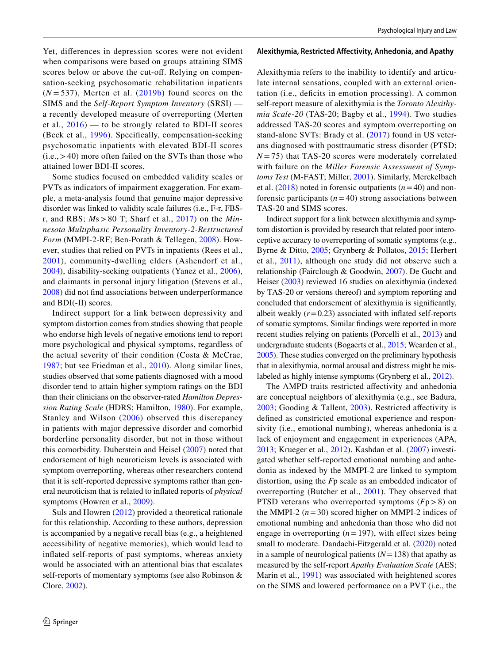Yet, diferences in depression scores were not evident when comparisons were based on groups attaining SIMS scores below or above the cut-off. Relying on compensation-seeking psychosomatic rehabilitation inpatients  $(N=537)$ , Merten et al.  $(2019b)$  $(2019b)$  found scores on the SIMS and the *Self-Report Symptom Inventory* (SRSI) a recently developed measure of overreporting (Merten et al.,  $2016$  — to be strongly related to BDI-II scores (Beck et al., [1996](#page-14-3)). Specifcally, compensation-seeking psychosomatic inpatients with elevated BDI-II scores  $(i.e., > 40)$  more often failed on the SVTs than those who attained lower BDI-II scores.

Some studies focused on embedded validity scales or PVTs as indicators of impairment exaggeration. For example, a meta-analysis found that genuine major depressive disorder was linked to validity scale failures (i.e., F-r, FBSr, and RBS; *M*s > 80 T; Sharf et al., [2017](#page-19-6)) on the *Minnesota Multiphasic Personality Inventory-2-Restructured Form* (MMPI-2-RF; Ben-Porath & Tellegen, [2008\)](#page-15-15). However, studies that relied on PVTs in inpatients (Rees et al., [2001\)](#page-18-11), community-dwelling elders (Ashendorf et al., [2004\)](#page-14-4), disability-seeking outpatients (Yanez et al., [2006](#page-20-3)), and claimants in personal injury litigation (Stevens et al., [2008](#page-19-7)) did not fnd associations between underperformance and BDI(-II) scores.

Indirect support for a link between depressivity and symptom distortion comes from studies showing that people who endorse high levels of negative emotions tend to report more psychological and physical symptoms, regardless of the actual severity of their condition (Costa & McCrae, [1987;](#page-15-16) but see Friedman et al., [2010](#page-16-9)). Along similar lines, studies observed that some patients diagnosed with a mood disorder tend to attain higher symptom ratings on the BDI than their clinicians on the observer-rated *Hamilton Depression Rating Scale* (HDRS; Hamilton, [1980\)](#page-16-10). For example, Stanley and Wilson ([2006](#page-19-8)) observed this discrepancy in patients with major depressive disorder and comorbid borderline personality disorder, but not in those without this comorbidity. Duberstein and Heisel [\(2007](#page-16-11)) noted that endorsement of high neuroticism levels is associated with symptom overreporting, whereas other researchers contend that it is self-reported depressive symptoms rather than general neuroticism that is related to infated reports of *physical* symptoms (Howren et al., [2009\)](#page-17-10).

Suls and Howren [\(2012\)](#page-19-9) provided a theoretical rationale for this relationship. According to these authors, depression is accompanied by a negative recall bias (e.g., a heightened accessibility of negative memories), which would lead to infated self-reports of past symptoms, whereas anxiety would be associated with an attentional bias that escalates self-reports of momentary symptoms (see also Robinson & Clore, [2002\)](#page-18-12).

#### **Alexithymia, Restricted Affectivity, Anhedonia, and Apathy**

Alexithymia refers to the inability to identify and articulate internal sensations, coupled with an external orientation (i.e., deficits in emotion processing). A common self-report measure of alexithymia is the *Toronto Alexithymia Scale-20* (TAS-20; Bagby et al., [1994\)](#page-14-5). Two studies addressed TAS-20 scores and symptom overreporting on stand-alone SVTs: Brady et al. [\(2017](#page-15-11)) found in US veterans diagnosed with posttraumatic stress disorder (PTSD;  $N = 75$ ) that TAS-20 scores were moderately correlated with failure on the *Miller Forensic Assessment of Symptoms Test* (M-FAST; Miller, [2001](#page-18-13)). Similarly, Merckelbach et al.  $(2018)$  noted in forensic outpatients  $(n=40)$  and nonforensic participants  $(n=40)$  strong associations between TAS-20 and SIMS scores.

Indirect support for a link between alexithymia and symptom distortion is provided by research that related poor interoceptive accuracy to overreporting of somatic symptoms (e.g., Byrne & Ditto, [2005](#page-15-17); Grynberg & Pollatos, [2015](#page-16-12); Herbert et al., [2011](#page-16-13)), although one study did not observe such a relationship (Fairclough & Goodwin, [2007](#page-16-14)). De Gucht and Heiser [\(2003\)](#page-16-15) reviewed 16 studies on alexithymia (indexed by TAS-20 or versions thereof) and symptom reporting and concluded that endorsement of alexithymia is signifcantly, albeit weakly  $(r=0.23)$  associated with inflated self-reports of somatic symptoms. Similar fndings were reported in more recent studies relying on patients (Porcelli et al., [2013\)](#page-18-14) and undergraduate students (Bogaerts et al., [2015](#page-15-18); Wearden et al., [2005\)](#page-20-4). These studies converged on the preliminary hypothesis that in alexithymia, normal arousal and distress might be mislabeled as highly intense symptoms (Grynberg et al., [2012](#page-16-16)).

The AMPD traits restricted affectivity and anhedonia are conceptual neighbors of alexithymia (e.g., see Badura, [2003;](#page-14-6) Gooding & Tallent, [2003](#page-16-17)). Restricted afectivity is defned as constricted emotional experience and responsivity (i.e., emotional numbing), whereas anhedonia is a lack of enjoyment and engagement in experiences (APA, [2013](#page-14-1); Krueger et al., [2012](#page-17-4)). Kashdan et al. ([2007](#page-17-11)) investigated whether self-reported emotional numbing and anhedonia as indexed by the MMPI-2 are linked to symptom distortion, using the *F*p scale as an embedded indicator of overreporting (Butcher et al., [2001\)](#page-15-19). They observed that PTSD veterans who overreported symptoms (*F*p>8) on the MMPI-2  $(n=30)$  scored higher on MMPI-2 indices of emotional numbing and anhedonia than those who did not engage in overreporting  $(n=197)$ , with effect sizes being small to moderate. Dandachi-Fitzgerald et al. ([2020\)](#page-15-12) noted in a sample of neurological patients  $(N=138)$  that apathy as measured by the self-report *Apathy Evaluation Scale* (AES; Marin et al., [1991](#page-17-12)) was associated with heightened scores on the SIMS and lowered performance on a PVT (i.e., the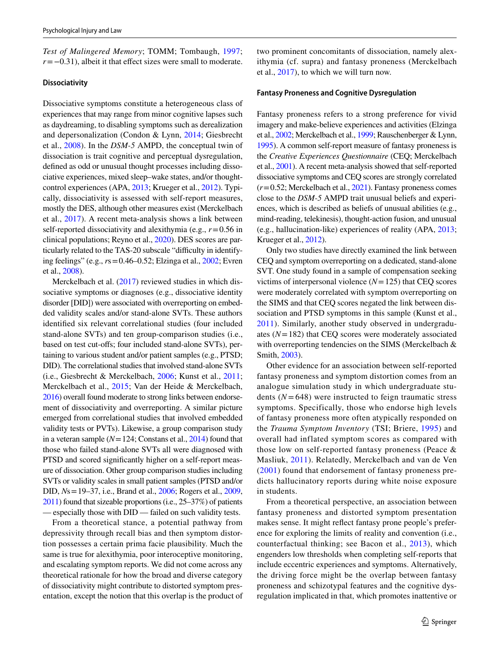*Test of Malingered Memory*; TOMM; Tombaugh, [1997](#page-19-10); *r*=−0.31), albeit it that effect sizes were small to moderate.

#### **Dissociativity**

Dissociative symptoms constitute a heterogeneous class of experiences that may range from minor cognitive lapses such as daydreaming, to disabling symptoms such as derealization and depersonalization (Condon & Lynn, [2014;](#page-15-20) Giesbrecht et al., [2008](#page-16-18)). In the *DSM-5* AMPD, the conceptual twin of dissociation is trait cognitive and perceptual dysregulation, defned as odd or unusual thought processes including dissociative experiences, mixed sleep–wake states, and/or thoughtcontrol experiences (APA, [2013;](#page-14-1) Krueger et al., [2012\)](#page-17-4). Typically, dissociativity is assessed with self-report measures, mostly the DES, although other measures exist (Merckelbach et al., [2017\)](#page-17-13). A recent meta-analysis shows a link between self-reported dissociativity and alexithymia (e.g., *r*=0.56 in clinical populations; Reyno et al., [2020\)](#page-18-15). DES scores are particularly related to the TAS-20 subscale "difficulty in identifying feelings" (e.g., *r*s=0.46–0.52; Elzinga et al., [2002;](#page-16-19) Evren et al., [2008\)](#page-16-20).

Merckelbach et al. [\(2017\)](#page-17-13) reviewed studies in which dissociative symptoms or diagnoses (e.g., dissociative identity disorder [DID]) were associated with overreporting on embedded validity scales and/or stand-alone SVTs. These authors identifed six relevant correlational studies (four included stand-alone SVTs) and ten group-comparison studies (i.e., based on test cut-ofs; four included stand-alone SVTs), pertaining to various student and/or patient samples (e.g., PTSD; DID). The correlational studies that involved stand-alone SVTs (i.e., Giesbrecht & Merckelbach, [2006;](#page-16-8) Kunst et al., [2011](#page-17-8); Merckelbach et al., [2015;](#page-17-9) Van der Heide & Merckelbach, [2016](#page-19-5)) overall found moderate to strong links between endorsement of dissociativity and overreporting. A similar picture emerged from correlational studies that involved embedded validity tests or PVTs). Likewise, a group comparison study in a veteran sample (*N*=124; Constans et al., [2014\)](#page-15-14) found that those who failed stand-alone SVTs all were diagnosed with PTSD and scored signifcantly higher on a self-report measure of dissociation. Other group comparison studies including SVTs or validity scales in small patient samples (PTSD and/or DID, *N*s=19–37, i.e., Brand et al., [2006](#page-15-13); Rogers et al., [2009,](#page-18-8) [2011](#page-18-16)) found that sizeable proportions (i.e., 25–37%) of patients — especially those with DID — failed on such validity tests.

From a theoretical stance, a potential pathway from depressivity through recall bias and then symptom distortion possesses a certain prima facie plausibility. Much the same is true for alexithymia, poor interoceptive monitoring, and escalating symptom reports. We did not come across any theoretical rationale for how the broad and diverse category of dissociativity might contribute to distorted symptom presentation, except the notion that this overlap is the product of two prominent concomitants of dissociation, namely alexithymia (cf. supra) and fantasy proneness (Merckelbach et al., [2017\)](#page-17-13), to which we will turn now.

#### **Fantasy Proneness and Cognitive Dysregulation**

Fantasy proneness refers to a strong preference for vivid imagery and make-believe experiences and activities (Elzinga et al., [2002](#page-16-19); Merckelbach et al., [1999;](#page-17-14) Rauschenberger & Lynn, [1995\)](#page-18-17). A common self-report measure of fantasy proneness is the *Creative Experiences Questionnaire* (CEQ; Merckelbach et al., [2001](#page-17-15)). A recent meta-analysis showed that self-reported dissociative symptoms and CEQ scores are strongly correlated (*r*=0.52; Merckelbach et al., [2021](#page-17-16)). Fantasy proneness comes close to the *DSM-5* AMPD trait unusual beliefs and experiences, which is described as beliefs of unusual abilities (e.g., mind-reading, telekinesis), thought-action fusion, and unusual (e.g., hallucination-like) experiences of reality (APA, [2013](#page-14-1); Krueger et al., [2012](#page-17-4)).

Only two studies have directly examined the link between CEQ and symptom overreporting on a dedicated, stand-alone SVT. One study found in a sample of compensation seeking victims of interpersonal violence (*N*=125) that CEQ scores were moderately correlated with symptom overreporting on the SIMS and that CEQ scores negated the link between dissociation and PTSD symptoms in this sample (Kunst et al., [2011\)](#page-17-8). Similarly, another study observed in undergraduates (*N*=182) that CEQ scores were moderately associated with overreporting tendencies on the SIMS (Merckelbach & Smith, [2003\)](#page-17-5).

Other evidence for an association between self-reported fantasy proneness and symptom distortion comes from an analogue simulation study in which undergraduate students  $(N = 648)$  were instructed to feign traumatic stress symptoms. Specifically, those who endorse high levels of fantasy proneness more often atypically responded on the *Trauma Symptom Inventory* (TSI; Briere, [1995\)](#page-15-21) and overall had inflated symptom scores as compared with those low on self-reported fantasy proneness (Peace & Masliuk, [2011](#page-18-18)). Relatedly, Merckelbach and van de Ven ([2001\)](#page-17-17) found that endorsement of fantasy proneness predicts hallucinatory reports during white noise exposure in students.

From a theoretical perspective, an association between fantasy proneness and distorted symptom presentation makes sense. It might refect fantasy prone people's preference for exploring the limits of reality and convention (i.e., counterfactual thinking; see Bacon et al., [2013](#page-14-7)), which engenders low thresholds when completing self-reports that include eccentric experiences and symptoms. Alternatively, the driving force might be the overlap between fantasy proneness and schizotypal features and the cognitive dysregulation implicated in that, which promotes inattentive or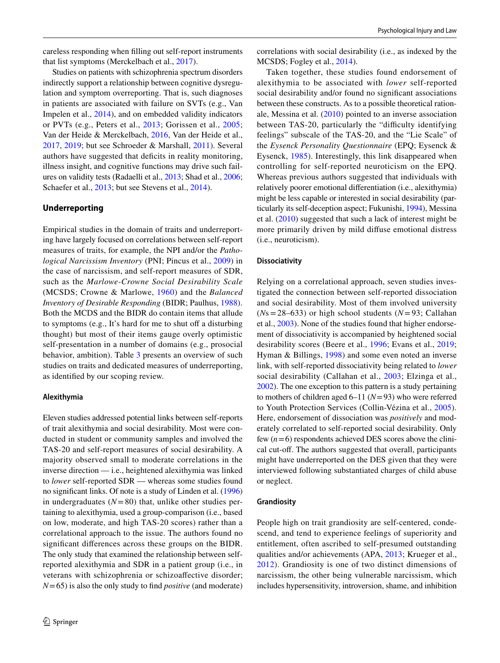careless responding when flling out self-report instruments that list symptoms (Merckelbach et al., [2017](#page-17-13)).

Studies on patients with schizophrenia spectrum disorders indirectly support a relationship between cognitive dysregulation and symptom overreporting. That is, such diagnoses in patients are associated with failure on SVTs (e.g., Van Impelen et al., [2014](#page-19-11)), and on embedded validity indicators or PVTs (e.g., Peters et al., [2013](#page-18-19); Gorissen et al., [2005](#page-16-21); Van der Heide & Merckelbach, [2016](#page-19-5), Van der Heide et al., [2017](#page-19-12), [2019;](#page-19-13) but see Schroeder & Marshall, [2011](#page-19-14)). Several authors have suggested that defcits in reality monitoring, illness insight, and cognitive functions may drive such failures on validity tests (Radaelli et al., [2013;](#page-18-20) Shad et al., [2006](#page-18-21); Schaefer et al., [2013](#page-18-22); but see Stevens et al., [2014](#page-19-15)).

## **Underreporting**

Empirical studies in the domain of traits and underreporting have largely focused on correlations between self-report measures of traits, for example, the NPI and/or the *Pathological Narcissism Inventory* (PNI; Pincus et al., [2009\)](#page-18-23) in the case of narcissism, and self-report measures of SDR, such as the *Marlowe-Crowne Social Desirability Scale* (MCSDS; Crowne & Marlowe, [1960\)](#page-15-22) and the *Balanced Inventory of Desirable Responding* (BIDR; Paulhus, [1988](#page-18-1)). Both the MCDS and the BIDR do contain items that allude to symptoms (e.g., It's hard for me to shut off a disturbing thought) but most of their items gauge overly optimistic self-presentation in a number of domains (e.g., prosocial behavior, ambition). Table [3](#page-8-0) presents an overview of such studies on traits and dedicated measures of underreporting, as identifed by our scoping review.

#### **Alexithymia**

Eleven studies addressed potential links between self-reports of trait alexithymia and social desirability. Most were conducted in student or community samples and involved the TAS-20 and self-report measures of social desirability. A majority observed small to moderate correlations in the inverse direction — i.e., heightened alexithymia was linked to *lower* self-reported SDR — whereas some studies found no signifcant links. Of note is a study of Linden et al. [\(1996\)](#page-17-18) in undergraduates  $(N=80)$  that, unlike other studies pertaining to alexithymia, used a group-comparison (i.e., based on low, moderate, and high TAS-20 scores) rather than a correlational approach to the issue. The authors found no signifcant diferences across these groups on the BIDR. The only study that examined the relationship between selfreported alexithymia and SDR in a patient group (i.e., in veterans with schizophrenia or schizoafective disorder; *N*=65) is also the only study to fnd *positive* (and moderate) correlations with social desirability (i.e., as indexed by the MCSDS; Fogley et al., [2014](#page-16-22)).

Taken together, these studies found endorsement of alexithymia to be associated with *lower* self-reported social desirability and/or found no signifcant associations between these constructs. As to a possible theoretical rationale, Messina et al. ([2010\)](#page-18-24) pointed to an inverse association between TAS-20, particularly the "difficulty identifying feelings" subscale of the TAS-20, and the "Lie Scale" of the *Eysenck Personality Questionnaire* (EPQ; Eysenck & Eysenck, [1985\)](#page-16-23). Interestingly, this link disappeared when controlling for self-reported neuroticism on the EPQ. Whereas previous authors suggested that individuals with relatively poorer emotional diferentiation (i.e., alexithymia) might be less capable or interested in social desirability (particularly its self-deception aspect; Fukunishi, [1994](#page-16-24)), Messina et al. ([2010\)](#page-18-24) suggested that such a lack of interest might be more primarily driven by mild difuse emotional distress (i.e., neuroticism).

#### **Dissociativity**

Relying on a correlational approach, seven studies investigated the connection between self-reported dissociation and social desirability. Most of them involved university  $(Ns=28-633)$  or high school students  $(N=93;$  Callahan et al., [2003](#page-15-23)). None of the studies found that higher endorsement of dissociativity is accompanied by heightened social desirability scores (Beere et al., [1996](#page-15-24); Evans et al., [2019](#page-16-25); Hyman & Billings, [1998\)](#page-17-19) and some even noted an inverse link, with self-reported dissociativity being related to *lower* social desirability (Callahan et al., [2003](#page-15-23); Elzinga et al., [2002\)](#page-16-19). The one exception to this pattern is a study pertaining to mothers of children aged 6–11 (*N*=93) who were referred to Youth Protection Services (Collin-Vézina et al., [2005](#page-15-25)). Here, endorsement of dissociation was *positively* and moderately correlated to self-reported social desirability. Only few (*n*=6) respondents achieved DES scores above the clinical cut-off. The authors suggested that overall, participants might have underreported on the DES given that they were interviewed following substantiated charges of child abuse or neglect.

### **Grandiosity**

People high on trait grandiosity are self-centered, condescend, and tend to experience feelings of superiority and entitlement, often ascribed to self-presumed outstanding qualities and/or achievements (APA, [2013](#page-14-1); Krueger et al., [2012\)](#page-17-4). Grandiosity is one of two distinct dimensions of narcissism, the other being vulnerable narcissism, which includes hypersensitivity, introversion, shame, and inhibition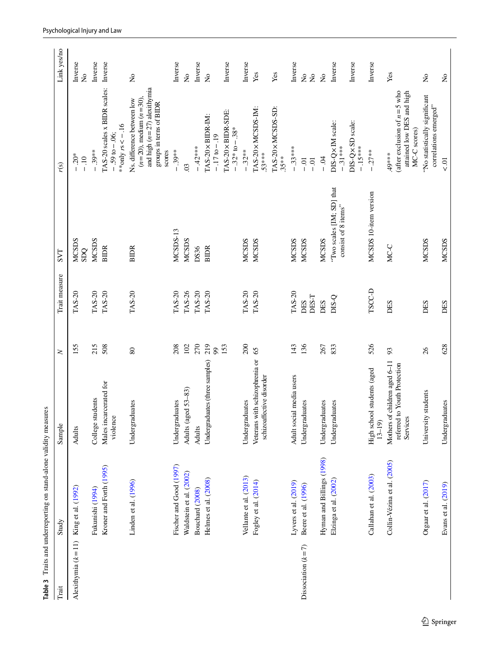<span id="page-8-0"></span>

|                                         | Table 3 Traits and underreporting on stand-alone validity measures |                                                                           |           |                  |                                                  |                                                                                                                                  |                                         |
|-----------------------------------------|--------------------------------------------------------------------|---------------------------------------------------------------------------|-----------|------------------|--------------------------------------------------|----------------------------------------------------------------------------------------------------------------------------------|-----------------------------------------|
| Trait                                   | Study                                                              | Sample                                                                    | $\geq$    | Trait measure    | <b>SVT</b>                                       | r(s)                                                                                                                             | Link yes/no                             |
| Alexithymia $(k=11)$ King et al. (1992) |                                                                    | Adults                                                                    | 155       | TAS-20           | <b>MCSDS</b><br>SDQ                              | $-20*$<br>$-10$                                                                                                                  | Inverse<br>$\overline{R}$               |
|                                         | Fukunishi (1994)                                                   | College students                                                          | 215       | TAS-20           | <b>MCSDS</b>                                     | $-0.39***$                                                                                                                       | Inverse                                 |
|                                         | Kroner and Forth (1995)                                            | Males incarcerated for<br>violence                                        | 508       | <b>TAS-20</b>    | <b>BIDR</b>                                      | TAS-20 scales x BIDR scales:<br>** only $rs < -.16$<br>$-0.59$ to $-0.06$ ;                                                      | Inverse                                 |
|                                         | Linden et al. (1996)                                               | Undergraduates                                                            | $80\,$    | TAS-20           | <b>BIDR</b>                                      | and high $(n=27)$ alexithymia<br>$(n=20)$ , medium $(n=30)$ ,<br>Ns. difference between low<br>groups in terns of BIDR<br>scores | $\mathsf{S}^{\mathsf{o}}$               |
|                                         | Fischer and Good (1997)                                            | Undergraduates                                                            | 208       | TAS-20           | MCSDS-13                                         | $-.39***$                                                                                                                        | Inverse                                 |
|                                         | Waldstein et al. (2002)                                            | Adults (aged 53-83)                                                       | 102       | TAS-26           | <b>MCSDS</b>                                     | $\overline{0}$                                                                                                                   | $\overline{\mathsf{z}}$                 |
|                                         | Bouchard (2008)                                                    | Adults                                                                    | 270       | TAS-20           | DS36                                             | $-42***$                                                                                                                         | Inverse                                 |
|                                         | Helmes et al. (2008)                                               | Undergraduates (three samples)                                            | 219<br>99 | TAS-20           | <b>BIDR</b>                                      | TAS-20×BIDR-IM:<br>$-17$ to $-19$                                                                                                | $\mathsf{S}^{\mathsf{o}}$               |
|                                         |                                                                    |                                                                           | 153       |                  |                                                  | TAS-20×BIDR-SDE:<br>$-32*$ to $-38*$                                                                                             | Inverse                                 |
|                                         | Vellante et al. (2013)                                             | Undergraduates                                                            | 200       | TAS-20           | <b>MCSDS</b>                                     | $-.32**$                                                                                                                         | Inverse                                 |
|                                         | Fogley et al. (2014)                                               | Veterans with schizophrenia or<br>schizoaffective disorder                | 65        | TAS-20           | <b>MCSDS</b>                                     | TAS-20×MCSDS-IM:<br>$.53***$                                                                                                     | Yes                                     |
|                                         |                                                                    |                                                                           |           |                  |                                                  | TAS-20×MCSDS-SD:<br>$35***$                                                                                                      | Yes                                     |
|                                         | Lyvers et al. (2019)                                               | Adult social media users                                                  | 143       | TAS-20           | <b>MCSDS</b>                                     | $-33***$                                                                                                                         | Inverse                                 |
| Dissociation $(k=7)$                    | Beere et al. (1996)                                                | Undergraduates                                                            | 136       | DES-T<br>DES     | <b>MCSDS</b>                                     | $-0.1$<br>$-0.1$                                                                                                                 | $\mathring{\mathsf{z}}$<br>$\mathsf{S}$ |
|                                         | Hyman and Billings (1998)                                          | Undergraduates                                                            | 267       | DES              | <b>MCSDS</b>                                     | $-0.4$                                                                                                                           | $\mathop{\mathsf{S}}\nolimits$          |
|                                         | Elzinga et al. (2002)                                              | Undergraduates                                                            | 833       | D <sub>S-Q</sub> | "Two scales [IM; SD] that<br>consist of 8 items" | DIS-Q×IM scale:<br>$-31***$                                                                                                      | Inverse                                 |
|                                         |                                                                    |                                                                           |           |                  |                                                  | DIS-Q×SD scale:<br>$-15***$                                                                                                      | Inverse                                 |
|                                         | Callahan et al. (2003)                                             | High school students (aged<br>$13 - 19$                                   | 526       | TSCC-D           | MCSDS 10-item version                            | $-0.27**$                                                                                                                        | Inverse                                 |
|                                         | Collin-Vézina et al. (2005)                                        | Mothers of children aged 6-11<br>referred to Youth Protection<br>Services | 93        | DES              | MC-C                                             | (after exclusion of $n = 5$ who<br>attained low DES and high<br>MC-C scores)<br>49***                                            | Yes                                     |
|                                         | Otgaar et al. (2017)                                               | University students                                                       | 26        | DES              | <b>MCSDS</b>                                     | 'No statistically significant<br>correlations emerged"                                                                           | $\mathsf{S}^{\mathsf{o}}$               |
|                                         | Evans et al. (2019)                                                | Undergraduates                                                            | 628       | DES              | <b>MCSDS</b>                                     | $< .01$                                                                                                                          | $\mathring{\mathsf{z}}$                 |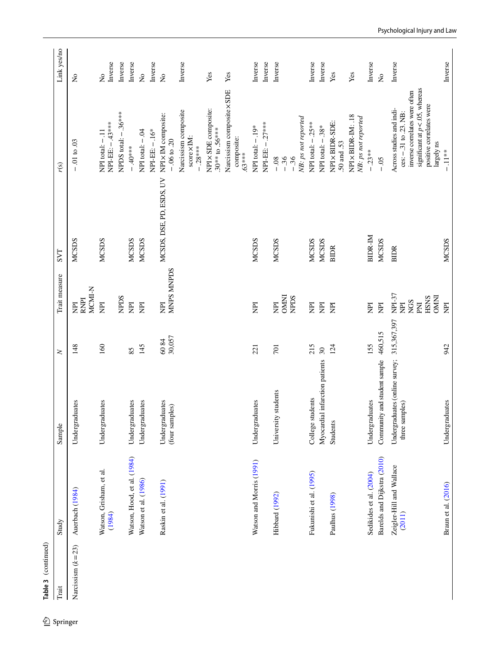| Trait               | Study                              | Sample                                           | $\geq$                   | Trait measure                                                             | <b>LAS</b>               | r(s)                                                                                                                                                                  | Link yes/no                               |
|---------------------|------------------------------------|--------------------------------------------------|--------------------------|---------------------------------------------------------------------------|--------------------------|-----------------------------------------------------------------------------------------------------------------------------------------------------------------------|-------------------------------------------|
| Narcissism $(k=23)$ | Auerbach (1984)                    | Undergraduates                                   | 148                      | MCMI-N<br>RNPI<br>E                                                       | <b>MCSDS</b>             | $-.01$ to $.03$                                                                                                                                                       | $\rm \stackrel{\circ}{X}$                 |
|                     | Watson, Grisham, et al.<br>(1984)  | Undergraduates                                   | 160                      | $\overline{\Xi}$                                                          | <b>MCSDS</b>             | NPI-EE: -. 43***<br><b>VPI</b> total: -.11                                                                                                                            | Inverse<br>$\mathop{\mathsf{S}}\nolimits$ |
|                     |                                    |                                                  |                          | <b>NPDS</b>                                                               |                          | NPDS total: -.36****                                                                                                                                                  | Inverse                                   |
|                     | Watson, Hood, et al. (1984)        | Undergraduates                                   | 85                       | E                                                                         | <b>MCSDS</b>             | $-40***$                                                                                                                                                              | Inverse                                   |
|                     | Watson et al. (1986)               | Undergraduates                                   | 145                      | E                                                                         | MCSDS                    | NPI total: - .04                                                                                                                                                      | $\overline{\mathsf{z}}$                   |
|                     |                                    |                                                  |                          |                                                                           |                          | $NPI-EE: -16*$                                                                                                                                                        | Inverse                                   |
|                     | Raskin et al. (1991)               | Undergraduates<br>(four samples)                 | 30,057<br>6084           | <b>MNPS MNPDS</b><br>$\overline{\Xi}$                                     | MCSDS, DSE, PD, ESDS, UV | NPI x IM composite:<br>$-06$ to $.20$                                                                                                                                 | $\overline{a}$                            |
|                     |                                    |                                                  |                          |                                                                           |                          | Narcissism composite<br>$score \times IM$ :<br>$-28***$                                                                                                               | Inverse                                   |
|                     |                                    |                                                  |                          |                                                                           |                          | NPI x SDE composite:<br>$.30***$ to $.56***$                                                                                                                          | Yes                                       |
|                     |                                    |                                                  |                          |                                                                           |                          | Narcissism composite x SDE<br>composite:<br>$.63***$                                                                                                                  | Yes                                       |
|                     | Watson and Morris (1991)           | Undergraduates                                   | 221                      | E                                                                         | <b>MCSDS</b>             | NPI total: $-19*$                                                                                                                                                     | Inverse                                   |
|                     |                                    |                                                  |                          |                                                                           |                          | NPI-EE: - 27***                                                                                                                                                       | Inverse                                   |
|                     | Hibbard (1992)                     | University students                              | 701                      | <b>CMNI</b><br>NPDS<br>$\overline{\mathrm{E}}$                            | <b>MCSDS</b>             | NB: ps not reported<br>$-36$<br>$-36$<br>$-0.8$                                                                                                                       | Inverse                                   |
|                     | Fukunishi et al. (1995)            | College students                                 | 215                      | E                                                                         | MCSDS                    | NPI total: $-25***$                                                                                                                                                   | Inverse                                   |
|                     |                                    | al infarction patients<br>Myocardi               | $\overline{\mathcal{E}}$ | E                                                                         | <b>MCSDS</b>             | NPI total: - .38*                                                                                                                                                     | Inverse                                   |
|                     | Paulhus (1998)                     | <b>Students</b>                                  | 124                      | E                                                                         | <b>BIDR</b>              | NPI × BIDR-SDE:<br>.50 and .53                                                                                                                                        | Yes                                       |
|                     |                                    |                                                  |                          |                                                                           |                          | NPI×BIDR-IM: .18<br>NB: ps not reported                                                                                                                               | Yes                                       |
|                     | Sedikides et al. (2004)            | Undergraduates                                   | 155                      | E                                                                         | <b>BIDR-M</b>            | $-23**$                                                                                                                                                               | Inverse                                   |
|                     | Barelds and Dijkstra (2010)        | Community and student sample                     | 460,515                  | E                                                                         | <b>MCSDS</b>             | $-0.5$                                                                                                                                                                | $\mathsf{S}^{\mathsf{O}}$                 |
|                     | Zeigler-Hill and Wallace<br>(2011) | Undergraduates (online survey;<br>three samples) | 315,367,397              | NPI-37<br><b>DMNI</b><br><b>HSNS</b><br><b>NGS</b><br>$\overline{R}$<br>E | <b>BIDR</b>              | significant at $p < 0.05$ , whereas<br>inverse correlates were often<br>positive correlates were<br>Across studies and indi-<br>$\cos: -31$ to .23. NB:<br>largely ns | Inverse                                   |
|                     | Braun et al. (2016)                | Undergraduates                                   | 942                      | Ę                                                                         | <b>MCSDS</b>             | $-11**$                                                                                                                                                               | Inverse                                   |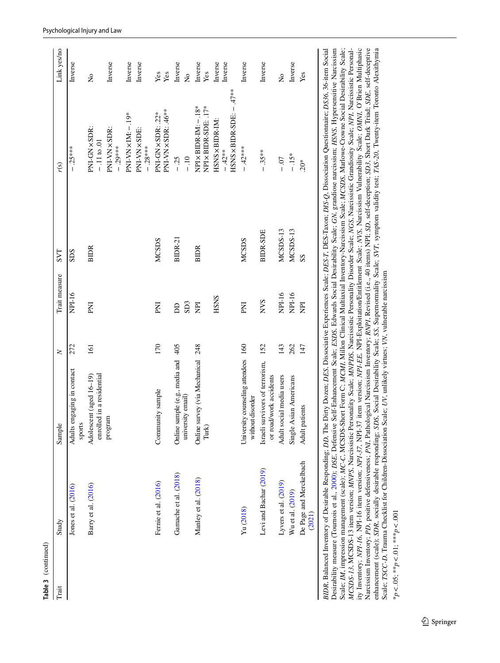| Trait | Study                             | Sample                                                                                                                                                                                | $\geq$ | Trait measure   | <b>LAS</b>   | r(s)                                        | Link yes/no          |
|-------|-----------------------------------|---------------------------------------------------------------------------------------------------------------------------------------------------------------------------------------|--------|-----------------|--------------|---------------------------------------------|----------------------|
|       | Jones et al. (2016)               | Adults engaging in contact<br>sports                                                                                                                                                  | 272    | NPI-16          | SDS          | $-25***$                                    | Inverse              |
|       | Barry et al. (2016)               | enrolled in a residential<br>Adolescent (aged 16-19)                                                                                                                                  | 161    | ΣÄ              | <b>BIDR</b>  | PNI-GN×SDR:<br>$-11$ to 01                  | $\frac{1}{2}$        |
|       |                                   | program                                                                                                                                                                               |        |                 |              | PNI-VN×SDR:<br>$-0.29***$                   | Inverse              |
|       |                                   |                                                                                                                                                                                       |        |                 |              | PNI-VN × IM: -- 19*                         | Inverse              |
|       |                                   |                                                                                                                                                                                       |        |                 |              | PNI-VN × SDE:<br>$-28***$                   | Inverse              |
|       | Fernie et al. (2016)              | Community sample                                                                                                                                                                      | 170    | ΣÄ              | <b>MCSDS</b> | PNI-VN×SDR: .46**<br>PNI-GN×SDR: .22*       | Yes<br>Yes           |
|       | Gamache et al. (2018)             | sample (e.g., media and<br>Online:                                                                                                                                                    | 405    | <b>DD</b>       | BIDR-21      | $-25$                                       | Inverse              |
|       |                                   | university email)                                                                                                                                                                     |        | SD <sub>3</sub> |              | $-10$                                       | $\tilde{\mathsf{z}}$ |
|       | Manley et al. (2018)              | survey (via Mechanical<br>Online:<br>Turk)                                                                                                                                            | 248    | E               | <b>BIDR</b>  | $NPIX BIDR-IM: -.18*$<br>NPI×BIDR-SDE: .17* | Inverse<br>Yes       |
|       |                                   |                                                                                                                                                                                       |        | HSNS            |              | HSNS × BIDR-IM:                             | Inverse              |
|       |                                   |                                                                                                                                                                                       |        |                 |              | $HSSNS\times BIDE: -47***$<br>$-42**$       | Inverse              |
|       | Yu (2018)                         | University counseling attendees 160<br>without disorder                                                                                                                               |        | ENI             | <b>MCSDS</b> | $-42***$                                    | Inverse              |
|       | Levi and Bachar (2019)            | Israeli survivors of terrorism,<br>or road/work accidents                                                                                                                             | 152    | <b>NVS</b>      | BIDR-SDE     | $-35***$                                    | Inverse              |
|       | Lyvers et al. (2019)              | Adult social media users                                                                                                                                                              | 143    | NPI-16          | MCSDS-13     | $-0.07$                                     | $\frac{1}{2}$        |
|       | Wu et al. (2019)                  | Single Asian Americans                                                                                                                                                                | 262    | NPI-16          | MCSDS-13     | $-15*$                                      | Inverse              |
|       | De Page and Merckelbach<br>(2021) | Adult patients                                                                                                                                                                        | 147    | E               | SS           | $20*$                                       | Yes                  |
|       |                                   | BIDR, Balanced Inventory of Desirable Responding; DD, The Dirty Dozen; DES, Dissociative Experiences Scale; DES-T, DES-Taxon; DIS-Q, Dissociation Questionnaire; D336, 36-item Social |        |                 |              |                                             |                      |

*BIDR*, Balanced Inventory of Desirable Responding; *DD*, The Dirty Dozen; *DES*, Dissociative Experiences Scale; *DES-T*, DES-Taxon; *DIS-Q*, Dissociation Questionnaire; *DS36*, 36-item Social Desirability measure (Tournois et al., [2000\)](#page-19-22); *DSE*, Defensive Self-Enhancement Scale; *ESDS*, Edwards Social Desirability Scale; *GN*, grandiose narcissism; *HSNS*, Hypersensitive Narcissism Scale; *IM*, impression management (scale); *MC-C*, MCSDS-Short Form C; *MCMI*, Millon Clinical Multiaxial Inventory-Narcissism Scale; *MCSDS*, Marlowe-Crowne Social Desirability Scale; MCSDS-13, MCSDS-13 item version; MNPS, Narcissistic Personality Scale; MMPDS, Narcissistic Personality Disorder Scale; NGS, Narcissistic Grandiosity Scale; NPI, Narcissistic Personality Inventory; NPI-16, NPI-16 item version; NPI-37, NPI-37 item version; NPI-ER, NPI-Exploitation/Entitlement Scale; NVS, Narcissism Vulnerability Scale; OMNI, O'Brien Multiphasic ity Inventory; *NPI-16*, NPI-16 item version; *NPI-37*, NPI-37 item version; *NPI-EE*, NPI-Exploitation/Entitlement Scale; *NVS*, Narcissism Vulnerability Scale; *OMNI*, O'Brien Multiphasic Narcissism Inventory, PD, positive defensiveness, PMJ, Pathological Narcissism Inventory; RNPI, Revised (i.e., 40 items) NPI; SD, self-deception; SD3, Short Dark Triad; SDE, self-deceptive Narcissism Inventory, PD, positive defensiveness, PNI, Pathological Narcissism Inventory; RNPI, Revised (i.e., 40 items) NPI; SD, self-deception; SD3, Short Dark Triad; SDE, self-deceptive enhancement (scale); SDR, socially desirable responding; SDS, Social Desirability Scale; SS, Supernormality Scale; SVT, symptom validity test; TAS-20, Twenty-item Toronto Alexithymia enhancement (scale); *SDR*, socially desirable responding; *SDS*, Social Desirability Scale; *SS*, Supernormality Scale; *SVT*, symptom validity test; *TAS-20*, Twenty-item Toronto Alexithymia Desirability measure (Tournois et al., 2000); DSE, Defensive Self-Enhancement Scale; ESDS, Edwards Social Desirability Scale; GN, grandiose narcissism; HSNS, Hypersensitive Narcissism Scale; IM, impression management (scale); MC-C, MCSDS-Short Form C; MCMI, Millon Clinical Multiaxial Inventory-Narcissism Scale; MCSDS, Marlowe-Crowne Social Desirability Scale; *MCSDS-13*, MCSDS-13 item version; *MNPS*, Narcissistic Personality Scale; *MNPDS*, Narcissistic Personality Disorder Scale; *NGS*, Narcissistic Grandiosity Scale; *NPI*, Narcissistic Personal-Scale; ISCC-D, Trauma Checklist for Children-Dissociation Scale; UV, unlikely virtues; VN, vulnerable narcissism Scale; *TSCC-D*, Trauma Checklist for Children-Dissociation Scale; *UV*, unlikely virtues; *VN*, vulnerable narcissism BIDR, Balan

\**p*<.05; \*\**p*<.01; \*\*\**p*<.001 $*_{p} < 0.05$ ;  $*_{p} < 0.01$ ;  $*_{*}$   $*_{p} < 0.01$ 

**Table 3** (continued)

Table 3 (continued)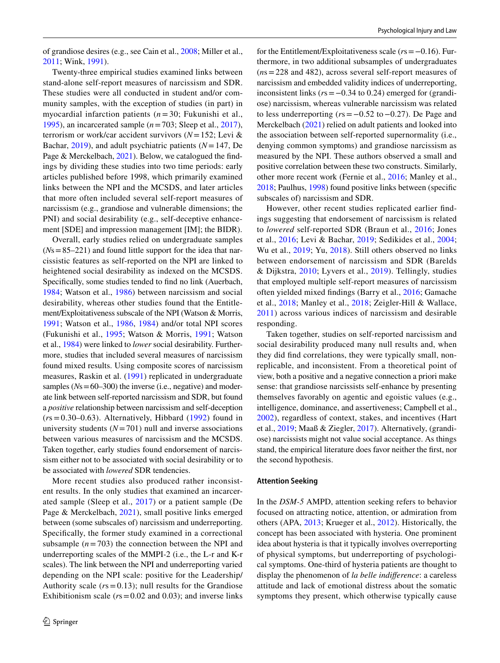of grandiose desires (e.g., see Cain et al., [2008](#page-15-28); Miller et al., [2011](#page-18-28); Wink, [1991\)](#page-20-9).

Twenty-three empirical studies examined links between stand-alone self-report measures of narcissism and SDR. These studies were all conducted in student and/or community samples, with the exception of studies (in part) in myocardial infarction patients (*n* = 30; Fukunishi et al., [1995](#page-16-28)), an incarcerated sample (*n*=703; Sleep et al., [2017](#page-19-23)), terrorism or work/car accident survivors (*N*=152; Levi & Bachar, [2019](#page-17-26)), and adult psychiatric patients (*N*=147, De Page & Merckelbach, [2021\)](#page-16-1). Below, we catalogued the fndings by dividing these studies into two time periods: early articles published before 1998, which primarily examined links between the NPI and the MCSDS, and later articles that more often included several self-report measures of narcissism (e.g., grandiose and vulnerable dimensions; the PNI) and social desirability (e.g., self-deceptive enhancement [SDE] and impression management [IM]; the BIDR).

Overall, early studies relied on undergraduate samples (*N*s=85–221) and found little support for the idea that narcissistic features as self-reported on the NPI are linked to heightened social desirability as indexed on the MCSDS. Specifcally, some studies tended to fnd no link (Auerbach, [1984](#page-14-8); Watson et al., [1986\)](#page-19-20) between narcissism and social desirability, whereas other studies found that the Entitlement/Exploitativeness subscale of the NPI (Watson & Morris, [1991;](#page-20-5) Watson et al., [1986](#page-19-20), [1984\)](#page-19-18) and/or total NPI scores (Fukunishi et al., [1995](#page-16-28); Watson & Morris, [1991](#page-20-5); Watson et al., [1984](#page-19-19)) were linked to *lower* social desirability. Furthermore, studies that included several measures of narcissism found mixed results. Using composite scores of narcissism measures, Raskin et al. [\(1991](#page-18-26)) replicated in undergraduate samples ( $Ns = 60-300$ ) the inverse (i.e., negative) and moderate link between self-reported narcissism and SDR, but found a *positive* relationship between narcissism and self-deception  $(rs=0.30-0.63)$ . Alternatively, Hibbard  $(1992)$  $(1992)$  found in university students  $(N=701)$  null and inverse associations between various measures of narcissism and the MCSDS. Taken together, early studies found endorsement of narcissism either not to be associated with social desirability or to be associated with *lowered* SDR tendencies.

More recent studies also produced rather inconsistent results. In the only studies that examined an incarcerated sample (Sleep et al., [2017](#page-19-23)) or a patient sample (De Page & Merckelbach, [2021\)](#page-16-1), small positive links emerged between (some subscales of) narcissism and underreporting. Specifcally, the former study examined in a correctional subsample  $(n = 703)$  the connection between the NPI and underreporting scales of the MMPI-2 (i.e., the L-r and K-r scales). The link between the NPI and underreporting varied depending on the NPI scale: positive for the Leadership/ Authority scale ( $rs = 0.13$ ); null results for the Grandiose Exhibitionism scale ( $rs = 0.02$  and 0.03); and inverse links for the Entitlement/Exploitativeness scale (*r*s=−0.16). Furthermore, in two additional subsamples of undergraduates (*n*s=228 and 482), across several self-report measures of narcissism and embedded validity indices of underreporting, inconsistent links (*r*s=−0.34 to 0.24) emerged for (grandiose) narcissism, whereas vulnerable narcissism was related to less underreporting (*r*s=−0.52 to−0.27). De Page and Merckelbach ([2021\)](#page-16-1) relied on adult patients and looked into the association between self-reported supernormality (i.e., denying common symptoms) and grandiose narcissism as measured by the NPI. These authors observed a small and positive correlation between these two constructs. Similarly, other more recent work (Fernie et al., [2016](#page-16-29); Manley et al., [2018](#page-17-25); Paulhus, [1998\)](#page-18-27) found positive links between (specifc subscales of) narcissism and SDR.

However, other recent studies replicated earlier fndings suggesting that endorsement of narcissism is related to *lowered* self-reported SDR (Braun et al., [2016;](#page-15-27) Jones et al., [2016;](#page-17-24) Levi & Bachar, [2019;](#page-17-26) Sedikides et al., [2004](#page-19-21); Wu et al., [2019;](#page-20-8) Yu, [2018\)](#page-20-7). Still others observed no links between endorsement of narcissism and SDR (Barelds & Dijkstra, [2010](#page-14-9); Lyvers et al., [2019\)](#page-17-22). Tellingly, studies that employed multiple self-report measures of narcissism often yielded mixed fndings (Barry et al., [2016;](#page-14-10) Gamache et al., [2018;](#page-16-30) Manley et al., [2018;](#page-17-25) Zeigler-Hill & Wallace, [2011\)](#page-20-6) across various indices of narcissism and desirable responding.

Taken together, studies on self-reported narcissism and social desirability produced many null results and, when they did fnd correlations, they were typically small, nonreplicable, and inconsistent. From a theoretical point of view, both a positive and a negative connection a priori make sense: that grandiose narcissists self-enhance by presenting themselves favorably on agentic and egoistic values (e.g., intelligence, dominance, and assertiveness; Campbell et al., [2002\)](#page-15-29), regardless of context, stakes, and incentives (Hart et al., [2019;](#page-16-31) Maaß & Ziegler, [2017\)](#page-17-27). Alternatively, (grandiose) narcissists might not value social acceptance. As things stand, the empirical literature does favor neither the frst, nor the second hypothesis.

#### **Attention Seeking**

In the *DSM-5* AMPD, attention seeking refers to behavior focused on attracting notice, attention, or admiration from others (APA, [2013;](#page-14-1) Krueger et al., [2012](#page-17-4)). Historically, the concept has been associated with hysteria. One prominent idea about hysteria is that it typically involves overreporting of physical symptoms, but underreporting of psychological symptoms. One-third of hysteria patients are thought to display the phenomenon of *la belle indiference*: a careless attitude and lack of emotional distress about the somatic symptoms they present, which otherwise typically cause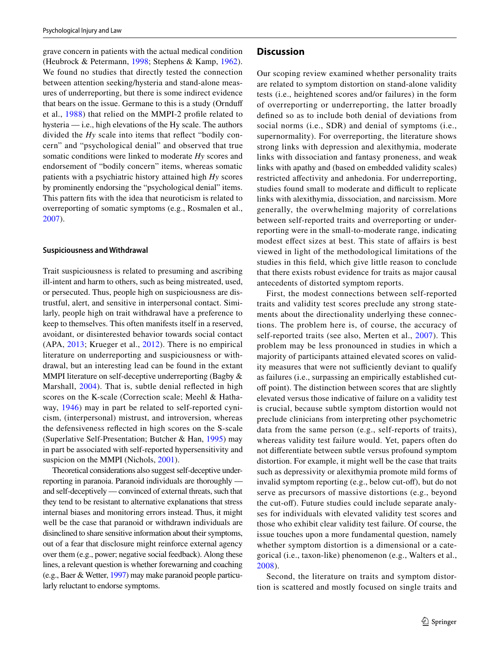grave concern in patients with the actual medical condition (Heubrock & Petermann, [1998;](#page-17-28) Stephens & Kamp, [1962](#page-19-24)). We found no studies that directly tested the connection between attention seeking/hysteria and stand-alone measures of underreporting, but there is some indirect evidence that bears on the issue. Germane to this is a study (Ornduf et al., [1988](#page-18-29)) that relied on the MMPI-2 profle related to hysteria — i.e., high elevations of the Hy scale. The authors divided the *Hy* scale into items that refect "bodily concern" and "psychological denial" and observed that true somatic conditions were linked to moderate *Hy* scores and endorsement of "bodily concern" items, whereas somatic patients with a psychiatric history attained high *Hy* scores by prominently endorsing the "psychological denial" items. This pattern fts with the idea that neuroticism is related to overreporting of somatic symptoms (e.g., Rosmalen et al., [2007](#page-18-30)).

#### **Suspiciousness and Withdrawal**

Trait suspiciousness is related to presuming and ascribing ill-intent and harm to others, such as being mistreated, used, or persecuted. Thus, people high on suspiciousness are distrustful, alert, and sensitive in interpersonal contact. Similarly, people high on trait withdrawal have a preference to keep to themselves. This often manifests itself in a reserved, avoidant, or disinterested behavior towards social contact (APA, [2013;](#page-14-1) Krueger et al., [2012](#page-17-4)). There is no empirical literature on underreporting and suspiciousness or withdrawal, but an interesting lead can be found in the extant MMPI literature on self-deceptive underreporting (Bagby & Marshall,  $2004$ ). That is, subtle denial reflected in high scores on the K-scale (Correction scale; Meehl & Hathaway, [1946](#page-17-29)) may in part be related to self-reported cynicism, (interpersonal) mistrust, and introversion, whereas the defensiveness refected in high scores on the S-scale (Superlative Self-Presentation; Butcher & Han, [1995\)](#page-15-30) may in part be associated with self-reported hypersensitivity and suspicion on the MMPI (Nichols, [2001](#page-18-31)).

Theoretical considerations also suggest self-deceptive underreporting in paranoia. Paranoid individuals are thoroughly and self-deceptively — convinced of external threats, such that they tend to be resistant to alternative explanations that stress internal biases and monitoring errors instead. Thus, it might well be the case that paranoid or withdrawn individuals are disinclined to share sensitive information about their symptoms, out of a fear that disclosure might reinforce external agency over them (e.g., power; negative social feedback). Along these lines, a relevant question is whether forewarning and coaching (e.g., Baer & Wetter, [1997](#page-14-12)) may make paranoid people particularly reluctant to endorse symptoms.

## **Discussion**

Our scoping review examined whether personality traits are related to symptom distortion on stand-alone validity tests (i.e., heightened scores and/or failures) in the form of overreporting or underreporting, the latter broadly defned so as to include both denial of deviations from social norms (i.e., SDR) and denial of symptoms (i.e., supernormality). For overreporting, the literature shows strong links with depression and alexithymia, moderate links with dissociation and fantasy proneness, and weak links with apathy and (based on embedded validity scales) restricted afectivity and anhedonia. For underreporting, studies found small to moderate and difficult to replicate links with alexithymia, dissociation, and narcissism. More generally, the overwhelming majority of correlations between self-reported traits and overreporting or underreporting were in the small-to-moderate range, indicating modest effect sizes at best. This state of affairs is best viewed in light of the methodological limitations of the studies in this feld, which give little reason to conclude that there exists robust evidence for traits as major causal antecedents of distorted symptom reports.

First, the modest connections between self-reported traits and validity test scores preclude any strong statements about the directionality underlying these connections. The problem here is, of course, the accuracy of self-reported traits (see also, Merten et al., [2007\)](#page-17-3). This problem may be less pronounced in studies in which a majority of participants attained elevated scores on validity measures that were not sufficiently deviant to qualify as failures (i.e., surpassing an empirically established cutoff point). The distinction between scores that are slightly elevated versus those indicative of failure on a validity test is crucial, because subtle symptom distortion would not preclude clinicians from interpreting other psychometric data from the same person (e.g., self-reports of traits), whereas validity test failure would. Yet, papers often do not diferentiate between subtle versus profound symptom distortion. For example, it might well be the case that traits such as depressivity or alexithymia promote mild forms of invalid symptom reporting (e.g., below cut-off), but do not serve as precursors of massive distortions (e.g., beyond the cut-of). Future studies could include separate analyses for individuals with elevated validity test scores and those who exhibit clear validity test failure. Of course, the issue touches upon a more fundamental question, namely whether symptom distortion is a dimensional or a categorical (i.e., taxon-like) phenomenon (e.g., Walters et al., [2008\)](#page-19-25).

Second, the literature on traits and symptom distortion is scattered and mostly focused on single traits and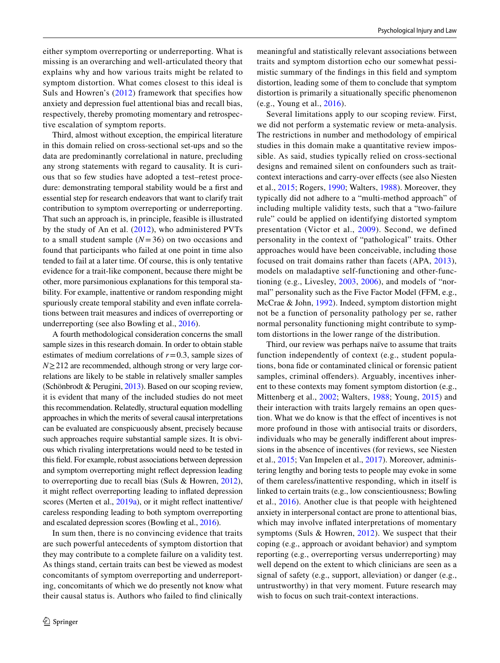either symptom overreporting or underreporting. What is missing is an overarching and well-articulated theory that explains why and how various traits might be related to symptom distortion. What comes closest to this ideal is Suls and Howren's ([2012](#page-19-9)) framework that specifes how anxiety and depression fuel attentional bias and recall bias, respectively, thereby promoting momentary and retrospective escalation of symptom reports.

Third, almost without exception, the empirical literature in this domain relied on cross-sectional set-ups and so the data are predominantly correlational in nature, precluding any strong statements with regard to causality. It is curious that so few studies have adopted a test–retest procedure: demonstrating temporal stability would be a frst and essential step for research endeavors that want to clarify trait contribution to symptom overreporting or underreporting. That such an approach is, in principle, feasible is illustrated by the study of An et al. [\(2012](#page-14-13)), who administered PVTs to a small student sample (*N*=36) on two occasions and found that participants who failed at one point in time also tended to fail at a later time. Of course, this is only tentative evidence for a trait-like component, because there might be other, more parsimonious explanations for this temporal stability. For example, inattentive or random responding might spuriously create temporal stability and even infate correlations between trait measures and indices of overreporting or underreporting (see also Bowling et al., [2016\)](#page-15-31).

A fourth methodological consideration concerns the small sample sizes in this research domain. In order to obtain stable estimates of medium correlations of  $r=0.3$ , sample sizes of *N*≥212 are recommended, although strong or very large correlations are likely to be stable in relatively smaller samples (Schönbrodt & Perugini, [2013\)](#page-19-26). Based on our scoping review, it is evident that many of the included studies do not meet this recommendation. Relatedly, structural equation modelling approaches in which the merits of several causal interpretations can be evaluated are conspicuously absent, precisely because such approaches require substantial sample sizes. It is obvious which rivaling interpretations would need to be tested in this feld. For example, robust associations between depression and symptom overreporting might refect depression leading to overreporting due to recall bias (Suls & Howren, [2012](#page-19-9)), it might refect overreporting leading to infated depression scores (Merten et al., [2019a\)](#page-17-6), or it might reflect inattentive/ careless responding leading to both symptom overreporting and escalated depression scores (Bowling et al., [2016\)](#page-15-31).

In sum then, there is no convincing evidence that traits are such powerful antecedents of symptom distortion that they may contribute to a complete failure on a validity test. As things stand, certain traits can best be viewed as modest concomitants of symptom overreporting and underreporting, concomitants of which we do presently not know what their causal status is. Authors who failed to fnd clinically

meaningful and statistically relevant associations between traits and symptom distortion echo our somewhat pessimistic summary of the fndings in this feld and symptom distortion, leading some of them to conclude that symptom distortion is primarily a situationally specifc phenomenon (e.g., Young et al., [2016\)](#page-20-1).

Several limitations apply to our scoping review. First, we did not perform a systematic review or meta-analysis. The restrictions in number and methodology of empirical studies in this domain make a quantitative review impossible. As said, studies typically relied on cross-sectional designs and remained silent on confounders such as traitcontext interactions and carry-over efects (see also Niesten et al., [2015;](#page-18-2) Rogers, [1990](#page-18-4); Walters, [1988](#page-19-27)). Moreover, they typically did not adhere to a "multi-method approach" of including multiple validity tests, such that a "two-failure rule" could be applied on identifying distorted symptom presentation (Victor et al., [2009\)](#page-19-28). Second, we defined personality in the context of "pathological" traits. Other approaches would have been conceivable, including those focused on trait domains rather than facets (APA, [2013](#page-14-1)), models on maladaptive self-functioning and other-functioning (e.g., Livesley, [2003,](#page-17-30) [2006\)](#page-17-31), and models of "normal" personality such as the Five Factor Model (FFM, e.g., McCrae & John, [1992](#page-17-32)). Indeed, symptom distortion might not be a function of personality pathology per se, rather normal personality functioning might contribute to symptom distortions in the lower range of the distribution.

Third, our review was perhaps naïve to assume that traits function independently of context (e.g., student populations, bona fde or contaminated clinical or forensic patient samples, criminal offenders). Arguably, incentives inherent to these contexts may foment symptom distortion (e.g., Mittenberg et al., [2002](#page-18-5); Walters, [1988](#page-19-27); Young, [2015](#page-20-2)) and their interaction with traits largely remains an open question. What we do know is that the efect of incentives is not more profound in those with antisocial traits or disorders, individuals who may be generally indiferent about impressions in the absence of incentives (for reviews, see Niesten et al., [2015](#page-18-2); Van Impelen et al., [2017\)](#page-19-3). Moreover, administering lengthy and boring tests to people may evoke in some of them careless/inattentive responding, which in itself is linked to certain traits (e.g., low conscientiousness; Bowling et al., [2016\)](#page-15-31). Another clue is that people with heightened anxiety in interpersonal contact are prone to attentional bias, which may involve infated interpretations of momentary symptoms (Suls & Howren, [2012\)](#page-19-9). We suspect that their coping (e.g., approach or avoidant behavior) and symptom reporting (e.g., overreporting versus underreporting) may well depend on the extent to which clinicians are seen as a signal of safety (e.g., support, alleviation) or danger (e.g., untrustworthy) in that very moment. Future research may wish to focus on such trait-context interactions.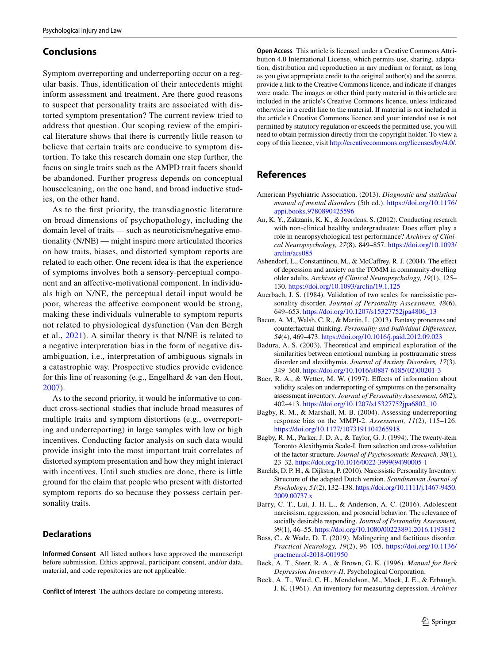# **Conclusions**

Symptom overreporting and underreporting occur on a regular basis. Thus, identifcation of their antecedents might inform assessment and treatment. Are there good reasons to suspect that personality traits are associated with distorted symptom presentation? The current review tried to address that question. Our scoping review of the empirical literature shows that there is currently little reason to believe that certain traits are conducive to symptom distortion. To take this research domain one step further, the focus on single traits such as the AMPD trait facets should be abandoned. Further progress depends on conceptual housecleaning, on the one hand, and broad inductive studies, on the other hand.

As to the frst priority, the transdiagnostic literature on broad dimensions of psychopathology, including the domain level of traits — such as neuroticism/negative emotionality (N/NE) — might inspire more articulated theories on how traits, biases, and distorted symptom reports are related to each other. One recent idea is that the experience of symptoms involves both a sensory-perceptual component and an afective-motivational component. In individuals high on N/NE, the perceptual detail input would be poor, whereas the afective component would be strong, making these individuals vulnerable to symptom reports not related to physiological dysfunction (Van den Bergh et al., [2021](#page-19-29)). A similar theory is that N/NE is related to a negative interpretation bias in the form of negative disambiguation, i.e., interpretation of ambiguous signals in a catastrophic way. Prospective studies provide evidence for this line of reasoning (e.g., Engelhard & van den Hout, [2007\)](#page-16-32).

As to the second priority, it would be informative to conduct cross-sectional studies that include broad measures of multiple traits and symptom distortions (e.g., overreporting and underreporting) in large samples with low or high incentives. Conducting factor analysis on such data would provide insight into the most important trait correlates of distorted symptom presentation and how they might interact with incentives. Until such studies are done, there is little ground for the claim that people who present with distorted symptom reports do so because they possess certain personality traits.

# **Declarations**

**Informed Consent** All listed authors have approved the manuscript before submission. Ethics approval, participant consent, and/or data, material, and code repositories are not applicable.

**Conflict of Interest** The authors declare no competing interests.

**Open Access** This article is licensed under a Creative Commons Attribution 4.0 International License, which permits use, sharing, adaptation, distribution and reproduction in any medium or format, as long as you give appropriate credit to the original author(s) and the source, provide a link to the Creative Commons licence, and indicate if changes were made. The images or other third party material in this article are included in the article's Creative Commons licence, unless indicated otherwise in a credit line to the material. If material is not included in the article's Creative Commons licence and your intended use is not permitted by statutory regulation or exceeds the permitted use, you will need to obtain permission directly from the copyright holder. To view a copy of this licence, visit<http://creativecommons.org/licenses/by/4.0/>.

# **References**

- <span id="page-14-1"></span>American Psychiatric Association. (2013). *Diagnostic and statistical manual of mental disorders* (5th ed.). [https://doi.org/10.1176/](https://doi.org/10.1176/appi.books.9780890425596) [appi.books.9780890425596](https://doi.org/10.1176/appi.books.9780890425596)
- <span id="page-14-13"></span>An, K. Y., Zakzanis, K. K., & Joordens, S. (2012). Conducting research with non-clinical healthy undergraduates: Does effort play a role in neuropsychological test performance? *Archives of Clinical Neuropsychology, 27*(8), 849–857. [https://doi.org/10.1093/](https://doi.org/10.1093/arclin/acs085) [arclin/acs085](https://doi.org/10.1093/arclin/acs085)
- <span id="page-14-4"></span>Ashendorf, L., Constantinou, M., & McCafrey, R. J. (2004). The efect of depression and anxiety on the TOMM in community-dwelling older adults. *Archives of Clinical Neuropsychology, 19*(1), 125– 130. <https://doi.org/10.1093/arclin/19.1.125>
- <span id="page-14-8"></span>Auerbach, J. S. (1984). Validation of two scales for narcissistic personality disorder. *Journal of Personality Assessment, 48*(6), 649–653. [https://doi.org/10.1207/s15327752jpa4806\\_13](https://doi.org/10.1207/s15327752jpa4806_13)
- <span id="page-14-7"></span>Bacon, A. M., Walsh, C. R., & Martin, L. (2013). Fantasy proneness and counterfactual thinking. *Personality and Individual Diferences, 54*(4), 469–473.<https://doi.org/10.1016/j.paid.2012.09.023>
- <span id="page-14-6"></span>Badura, A. S. (2003). Theoretical and empirical exploration of the similarities between emotional numbing in posttraumatic stress disorder and alexithymia. *Journal of Anxiety Disorders, 17*(3), 349–360. [https://doi.org/10.1016/s0887-6185\(02\)00201-3](https://doi.org/10.1016/s0887-6185(02)00201-3)
- <span id="page-14-12"></span>Baer, R. A., & Wetter, M. W. (1997). Efects of information about validity scales on underreporting of symptoms on the personality assessment inventory. *Journal of Personality Assessment, 68*(2), 402–413. [https://doi.org/10.1207/s15327752jpa6802\\_10](https://doi.org/10.1207/s15327752jpa6802_10)
- <span id="page-14-11"></span>Bagby, R. M., & Marshall, M. B. (2004). Assessing underreporting response bias on the MMPI-2. *Assessment, 11*(2), 115–126. <https://doi.org/10.1177/1073191104265918>
- <span id="page-14-5"></span>Bagby, R. M., Parker, J. D. A., & Taylor, G. J. (1994). The twenty-item Toronto Alexithymia Scale-I. Item selection and cross-validation of the factor structure. *Journal of Psychosomatic Research, 38*(1), 23–32. [https://doi.org/10.1016/0022-3999\(94\)90005-1](https://doi.org/10.1016/0022-3999(94)90005-1)
- <span id="page-14-9"></span>Barelds, D. P. H., & Dijkstra, P. (2010). Narcissistic Personality Inventory: Structure of the adapted Dutch version. *Scandinavian Journal of Psychology, 51*(2), 132–138. [https://doi.org/10.1111/j.1467-9450.](https://doi.org/10.1111/j.1467-9450.2009.00737.x) [2009.00737.x](https://doi.org/10.1111/j.1467-9450.2009.00737.x)
- <span id="page-14-10"></span>Barry, C. T., Lui, J. H. L., & Anderson, A. C. (2016). Adolescent narcissism, aggression, and prosocial behavior: The relevance of socially desirable responding. *Journal of Personality Assessment, 99*(1), 46–55.<https://doi.org/10.1080/00223891.2016.1193812>
- <span id="page-14-0"></span>Bass, C., & Wade, D. T. (2019). Malingering and factitious disorder. *Practical Neurology, 19*(2), 96–105. [https://doi.org/10.1136/](https://doi.org/10.1136/practneurol-2018-001950) [practneurol-2018-001950](https://doi.org/10.1136/practneurol-2018-001950)
- <span id="page-14-3"></span>Beck, A. T., Steer, R. A., & Brown, G. K. (1996). *Manual for Beck Depression Inventory-II*. Psychological Corporation.
- <span id="page-14-2"></span>Beck, A. T., Ward, C. H., Mendelson, M., Mock, J. E., & Erbaugh, J. K. (1961). An inventory for measuring depression. *Archives*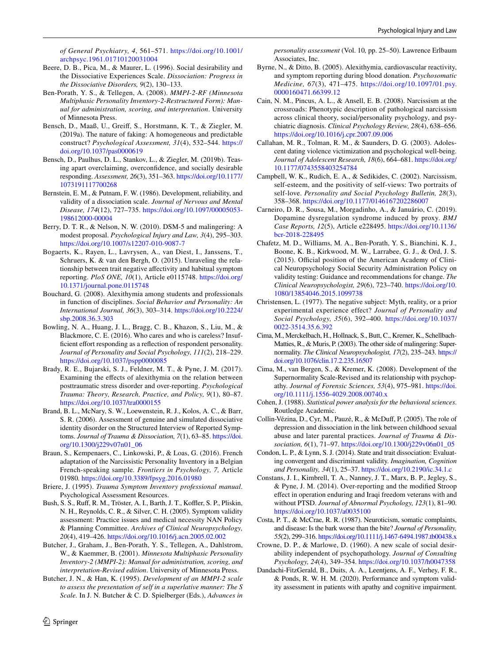*of General Psychiatry, 4*, 561–571. [https://doi.org/10.1001/](https://doi.org/10.1001/archpsyc.1961.01710120031004) [archpsyc.1961.01710120031004](https://doi.org/10.1001/archpsyc.1961.01710120031004)

- <span id="page-15-24"></span>Beere, D. B., Pica, M., & Maurer, L. (1996). Social desirability and the Dissociative Experiences Scale. *Dissociation: Progress in the Dissociative Disorders, 9*(2), 130–133.
- <span id="page-15-15"></span>Ben-Porath, Y. S., & Tellegen, A. (2008). *MMPI-2-RF (Minnesota Multiphasic Personality Inventory-2-Restructured Form): Manual for administration, scoring, and interpretation*. University of Minnesota Press.
- <span id="page-15-5"></span>Bensch, D., Maaß, U., Greif, S., Horstmann, K. T., & Ziegler, M. (2019a). The nature of faking: A homogeneous and predictable construct? *Psychological Assessment, 31*(4), 532–544. [https://](https://doi.org/10.1037/pas0000619) [doi.org/10.1037/pas0000619](https://doi.org/10.1037/pas0000619)
- <span id="page-15-6"></span>Bensch, D., Paulhus, D. L., Stankov, L., & Ziegler, M. (2019b). Teasing apart overclaiming, overconfdence, and socially desirable responding. *Assessment, 26*(3), 351–363. [https://doi.org/10.1177/](https://doi.org/10.1177/1073191117700268) [1073191117700268](https://doi.org/10.1177/1073191117700268)
- <span id="page-15-10"></span>Bernstein, E. M., & Putnam, F. W. (1986). Development, reliability, and validity of a dissociation scale. *Journal of Nervous and Mental Disease, 174*(12), 727–735. [https://doi.org/10.1097/00005053-](https://doi.org/10.1097/00005053-198612000-00004) [198612000-00004](https://doi.org/10.1097/00005053-198612000-00004)
- <span id="page-15-7"></span>Berry, D. T. R., & Nelson, N. W. (2010). DSM-5 and malingering: A modest proposal. *Psychological Injury and Law, 3*(4), 295–303. <https://doi.org/10.1007/s12207-010-9087-7>
- <span id="page-15-18"></span>Bogaerts, K., Rayen, L., Lavrysen, A., van Diest, I., Janssens, T., Schruers, K. & van den Bergh, O. (2015). Unraveling the relationship between trait negative afectivity and habitual symptom reporting. *PloS ONE, 10*(1), Article e0115748. [https://doi.org/](https://doi.org/10.1371/journal.pone.0115748) [10.1371/journal.pone.0115748](https://doi.org/10.1371/journal.pone.0115748)
- <span id="page-15-26"></span>Bouchard, G. (2008). Alexithymia among students and professionals in function of disciplines. *Social Behavior and Personality: An International Journal, 36*(3), 303–314. [https://doi.org/10.2224/](https://doi.org/10.2224/sbp.2008.36.3.303) [sbp.2008.36.3.303](https://doi.org/10.2224/sbp.2008.36.3.303)
- <span id="page-15-31"></span>Bowling, N. A., Huang, J. L., Bragg, C. B., Khazon, S., Liu, M., & Blackmore, C. E. (2016). Who cares and who is careless? Insufficient effort responding as a reflection of respondent personality. *Journal of Personality and Social Psychology, 111*(2), 218–229. <https://doi.org/10.1037/pspp0000085>
- <span id="page-15-11"></span>Brady, R. E., Bujarski, S. J., Feldner, M. T., & Pyne, J. M. (2017). Examining the efects of alexithymia on the relation between posttraumatic stress disorder and over-reporting. *Psychological Trauma: Theory, Research, Practice, and Policy, 9*(1), 80–87. <https://doi.org/10.1037/tra0000155>
- <span id="page-15-13"></span>Brand, B. L., McNary, S. W., Loewenstein, R. J., Kolos, A. C., & Barr, S. R. (2006). Assessment of genuine and simulated dissociative identity disorder on the Structured Interview of Reported Symptoms. *Journal of Trauma & Dissociation, 7*(1), 63–85. [https://doi.](https://doi.org/10.1300/j229v07n01_06) [org/10.1300/j229v07n01\\_06](https://doi.org/10.1300/j229v07n01_06)
- <span id="page-15-27"></span>Braun, S., Kempenaers, C., Linkowski, P., & Loas, G. (2016). French adaptation of the Narcissistic Personality Inventory in a Belgian French-speaking sample*. Frontiers in Psychology, 7,* Article 01980*.* <https://doi.org/10.3389/fpsyg.2016.01980>
- <span id="page-15-21"></span>Briere, J. (1995). *Trauma Symptom Inventory professional manual*. Psychological Assessment Resources.
- <span id="page-15-1"></span>Bush, S. S., Ruff, R. M., Tröster, A. I., Barth, J. T., Koffler, S. P., Pliskin, N. H., Reynolds, C. R., & Silver, C. H. (2005). Symptom validity assessment: Practice issues and medical necessity NAN Policy & Planning Committee. *Archives of Clinical Neuropsychology, 20*(4), 419–426.<https://doi.org/10.1016/j.acn.2005.02.002>
- <span id="page-15-19"></span>Butcher, J., Graham, J., Ben-Porath, Y. S., Tellegen, A., Dahlstrom, W., & Kaemmer, B. (2001). *Minnesota Multiphasic Personality Inventory-2 (MMPI-2): Manual for administration, scoring, and interpretation-Revised edition*. University of Minnesota Press.
- <span id="page-15-30"></span>Butcher, J. N., & Han, K. (1995). *Development of an MMPI-2 scale to assess the presentation of self in a superlative manner: The S Scale.* In J. N. Butcher & C. D. Spielberger (Eds.), *Advances in*

 $\circled{2}$  Springer

*personality assessment* (Vol. 10*,* pp. 25–50). Lawrence Erlbaum Associates, Inc.

- <span id="page-15-17"></span>Byrne, N., & Ditto, B. (2005). Alexithymia, cardiovascular reactivity, and symptom reporting during blood donation. *Psychosomatic Medicine, 67*(3), 471–475. [https://doi.org/10.1097/01.psy.](https://doi.org/10.1097/01.psy.0000160471.66399.12) [0000160471.66399.12](https://doi.org/10.1097/01.psy.0000160471.66399.12)
- <span id="page-15-28"></span>Cain, N. M., Pincus, A. L., & Ansell, E. B. (2008). Narcissism at the crossroads: Phenotypic description of pathological narcissism across clinical theory, social/personality psychology, and psychiatric diagnosis. *Clinical Psychology Review, 28*(4), 638–656. <https://doi.org/10.1016/j.cpr.2007.09.006>
- <span id="page-15-23"></span>Callahan, M. R., Tolman, R. M., & Saunders, D. G. (2003). Adolescent dating violence victimization and psychological well-being. *Journal of Adolescent Research, 18*(6), 664–681. [https://doi.org/](https://doi.org/10.1177/0743558403254784) [10.1177/0743558403254784](https://doi.org/10.1177/0743558403254784)
- <span id="page-15-29"></span>Campbell, W. K., Rudich, E. A., & Sedikides, C. (2002). Narcissism, self-esteem, and the positivity of self-views: Two portraits of self-love. *Personality and Social Psychology Bulletin, 28*(3), 358–368.<https://doi.org/10.1177/0146167202286007>
- <span id="page-15-0"></span>Carneiro, D. R., Sousa, M., Morgadinho, A., & Januário, C. (2019). Dopamine dysregulation syndrome induced by proxy. *BMJ Case Reports, 12*(5), Article e228495. [https://doi.org/10.1136/](https://doi.org/10.1136/bcr-2018-228495) [bcr-2018-228495](https://doi.org/10.1136/bcr-2018-228495)
- <span id="page-15-2"></span>Chafetz, M. D., Williams, M. A., Ben-Porath, Y. S., Bianchini, K. J., Boone, K. B., Kirkwood, M. W., Larrabee, G. J., & Ord, J. S. (2015). Official position of the American Academy of Clinical Neuropsychology Social Security Administration Policy on validity testing: Guidance and recommendations for change. *The Clinical Neuropsychologist, 29*(6), 723–740. [https://doi.org/10.](https://doi.org/10.1080/13854046.2015.1099738) [1080/13854046.2015.1099738](https://doi.org/10.1080/13854046.2015.1099738)
- <span id="page-15-8"></span>Christensen, L. (1977). The negative subject: Myth, reality, or a prior experimental experience effect? *Journal of Personality and Social Psychology, 35*(6), 392–400. [https://doi.org/10.1037/](https://doi.org/10.1037/0022-3514.35.6.392) [0022-3514.35.6.392](https://doi.org/10.1037/0022-3514.35.6.392)
- <span id="page-15-3"></span>Cima, M., Merckelbach, H., Hollnack, S., Butt, C., Kremer, K., Schellbach-Matties, R., & Muris, P. (2003). The other side of malingering: Supernormality. *The Clinical Neuropsychologist, 17*(2), 235–243. [https://](https://doi.org/10.1076/clin.17.2.235.16507) [doi.org/10.1076/clin.17.2.235.16507](https://doi.org/10.1076/clin.17.2.235.16507)
- <span id="page-15-4"></span>Cima, M., van Bergen, S., & Kremer, K. (2008). Development of the Supernormality Scale-Revised and its relationship with psychopathy. *Journal of Forensic Sciences, 53*(4), 975–981. [https://doi.](https://doi.org/10.1111/j.1556-4029.2008.00740.x) [org/10.1111/j.1556-4029.2008.00740.x](https://doi.org/10.1111/j.1556-4029.2008.00740.x)
- <span id="page-15-9"></span>Cohen, J. (1988). *Statistical power analysis for the behavioral sciences*. Routledge Academic.
- <span id="page-15-25"></span>Collin-Vézina, D., Cyr, M., Pauzé, R., & McDuf, P. (2005). The role of depression and dissociation in the link between childhood sexual abuse and later parental practices. *Journal of Trauma & Dissociation, 6*(1), 71–97. [https://doi.org/10.1300/j229v06n01\\_05](https://doi.org/10.1300/j229v06n01_05)
- <span id="page-15-20"></span>Condon, L. P., & Lynn, S. J. (2014). State and trait dissociation: Evaluating convergent and discriminant validity. *Imagination, Cognition and Personality, 34*(1), 25–37. <https://doi.org/10.2190/ic.34.1.c>
- <span id="page-15-14"></span>Constans, J. I., Kimbrell, T. A., Nanney, J. T., Marx, B. P., Jegley, S., & Pyne, J. M. (2014). Over-reporting and the modifed Stroop efect in operation enduring and Iraqi freedom veterans with and without PTSD. *Journal of Abnormal Psychology, 123*(1), 81–90. <https://doi.org/10.1037/a0035100>
- <span id="page-15-16"></span>Costa, P. T., & McCrae, R. R. (1987). Neuroticism, somatic complaints, and disease: Is the bark worse than the bite? *Journal of Personality, 55*(2), 299–316.<https://doi.org/10.1111/j.1467-6494.1987.tb00438.x>
- <span id="page-15-22"></span>Crowne, D. P., & Marlowe, D. (1960). A new scale of social desirability independent of psychopathology. *Journal of Consulting Psychology, 24*(4), 349–354.<https://doi.org/10.1037/h0047358>
- <span id="page-15-12"></span>Dandachi-FitzGerald, B., Duits, A. A., Leentjens, A. F., Verhey, F. R., & Ponds, R. W. H. M. (2020). Performance and symptom validity assessment in patients with apathy and cognitive impairment.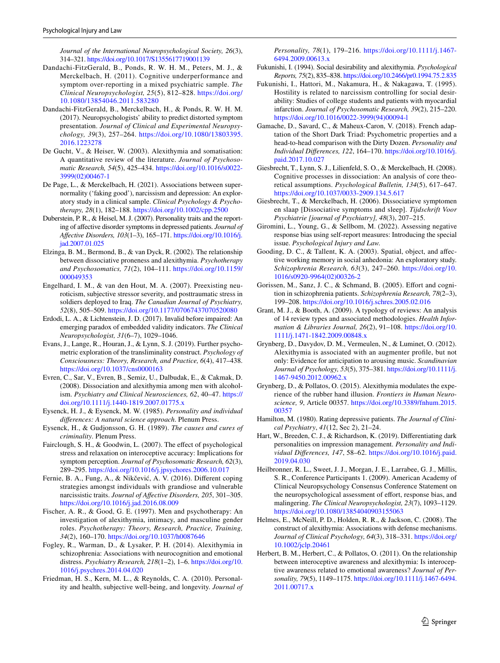*Journal of the International Neuropsychological Society, 26*(3), 314–321.<https://doi.org/10.1017/S1355617719001139>

- <span id="page-16-4"></span>Dandachi-FitzGerald, B., Ponds, R. W. H. M., Peters, M. J., & Merckelbach, H. (2011). Cognitive underperformance and symptom over-reporting in a mixed psychiatric sample. *The Clinical Neuropsychologist, 25*(5), 812–828. [https://doi.org/](https://doi.org/10.1080/13854046.2011.583280) [10.1080/13854046.2011.583280](https://doi.org/10.1080/13854046.2011.583280)
- <span id="page-16-5"></span>Dandachi-FitzGerald, B., Merckelbach, H., & Ponds, R. W. H. M. (2017). Neuropsychologists' ability to predict distorted symptom presentation. *Journal of Clinical and Experimental Neuropsychology, 39*(3), 257–264. [https://doi.org/10.1080/13803395.](https://doi.org/10.1080/13803395.2016.1223278) [2016.1223278](https://doi.org/10.1080/13803395.2016.1223278)
- <span id="page-16-15"></span>De Gucht, V., & Heiser, W. (2003). Alexithymia and somatisation: A quantitative review of the literature. *Journal of Psychosomatic Research, 54*(5), 425–434. [https://doi.org/10.1016/s0022-](https://doi.org/10.1016/s0022-3999(02)00467-1) [3999\(02\)00467-1](https://doi.org/10.1016/s0022-3999(02)00467-1)
- <span id="page-16-1"></span>De Page, L., & Merckelbach, H. (2021). Associations between supernormality ('faking good'), narcissism and depression: An exploratory study in a clinical sample. *Clinical Psychology & Psychotherapy, 28*(1), 182–188. <https://doi.org/10.1002/cpp.2500>
- <span id="page-16-11"></span>Duberstein, P. R., & Heisel, M. J. (2007). Personality traits and the reporting of afective disorder symptoms in depressed patients. *Journal of Afective Disorders, 103*(1–3), 165–171. [https://doi.org/10.1016/j.](https://doi.org/10.1016/j.jad.2007.01.025) [jad.2007.01.025](https://doi.org/10.1016/j.jad.2007.01.025)
- <span id="page-16-19"></span>Elzinga, B. M., Bermond, B., & van Dyck, R. (2002). The relationship between dissociative proneness and alexithymia. *Psychotherapy and Psychosomatics, 71*(2), 104–111. [https://doi.org/10.1159/](https://doi.org/10.1159/000049353) [000049353](https://doi.org/10.1159/000049353)
- <span id="page-16-32"></span>Engelhard, I. M., & van den Hout, M. A. (2007). Preexisting neuroticism, subjective stressor severity, and posttraumatic stress in soldiers deployed to Iraq. *The Canadian Journal of Psychiatry, 52*(8), 505–509. <https://doi.org/10.1177/07067437070520080>
- <span id="page-16-2"></span>Erdodi, L. A., & Lichtenstein, J. D. (2017). Invalid before impaired: An emerging paradox of embedded validity indicators. *The Clinical Neuropsychologist, 31*(6–7), 1029–1046.
- <span id="page-16-25"></span>Evans, J., Lange, R., Houran, J., & Lynn, S. J. (2019). Further psychometric exploration of the transliminality construct. *Psychology of Consciousness: Theory, Research, and Practice, 6*(4), 417–438. <https://doi.org/10.1037/cns0000163>
- <span id="page-16-20"></span>Evren, C., Sar, V., Evren, B., Semiz, U., Dalbudak, E., & Cakmak, D. (2008). Dissociation and alexithymia among men with alcoholism. *Psychiatry and Clinical Neurosciences, 62*, 40–47. [https://](https://doi.org/10.1111/j.1440-1819.2007.01775.x) [doi.org/10.1111/j.1440-1819.2007.01775.x](https://doi.org/10.1111/j.1440-1819.2007.01775.x)
- <span id="page-16-23"></span>Eysenck, H. J., & Eysenck, M. W. (1985). *Personality and individual diferences: A natural science approach*. Plenum Press.
- <span id="page-16-3"></span>Eysenck, H., & Gudjonsson, G. H. (1989). *The causes and cures of criminality*. Plenum Press.
- <span id="page-16-14"></span>Fairclough, S. H., & Goodwin, L. (2007). The efect of psychological stress and relaxation on interoceptive accuracy: Implications for symptom perception. *Journal of Psychosomatic Research, 62*(3), 289–295. <https://doi.org/10.1016/j.jpsychores.2006.10.017>
- <span id="page-16-29"></span>Fernie, B. A., Fung, A., & Nikčević, A. V. (2016). Diferent coping strategies amongst individuals with grandiose and vulnerable narcissistic traits. *Journal of Afective Disorders, 205*, 301–305. <https://doi.org/10.1016/j.jad.2016.08.009>
- <span id="page-16-26"></span>Fischer, A. R., & Good, G. E. (1997). Men and psychotherapy: An investigation of alexithymia, intimacy, and masculine gender roles. *Psychotherapy: Theory, Research, Practice, Training, 34*(2), 160–170. <https://doi.org/10.1037/h0087646>
- <span id="page-16-22"></span>Fogley, R., Warman, D., & Lysaker, P. H. (2014). Alexithymia in schizophrenia: Associations with neurocognition and emotional distress. *Psychiatry Research, 218*(1–2), 1–6. [https://doi.org/10.](https://doi.org/10.1016/j.psychres.2014.04.020) [1016/j.psychres.2014.04.020](https://doi.org/10.1016/j.psychres.2014.04.020)
- <span id="page-16-9"></span>Friedman, H. S., Kern, M. L., & Reynolds, C. A. (2010). Personality and health, subjective well-being, and longevity. *Journal of*

*Personality, 78*(1), 179–216. [https://doi.org/10.1111/j.1467-](https://doi.org/10.1111/j.1467-6494.2009.00613.x) [6494.2009.00613.x](https://doi.org/10.1111/j.1467-6494.2009.00613.x)

- <span id="page-16-24"></span>Fukunishi, I. (1994). Social desirability and alexithymia. *Psychological Reports, 75*(2), 835–838.<https://doi.org/10.2466/pr0.1994.75.2.835>
- <span id="page-16-28"></span>Fukunishi, I., Hattori, M., Nakamura, H., & Nakagawa, T. (1995). Hostility is related to narcissism controlling for social desirability: Studies of college students and patients with myocardial infarction. *Journal of Psychosomatic Research, 39*(2), 215–220. [https://doi.org/10.1016/0022-3999\(94\)00094-l](https://doi.org/10.1016/0022-3999(94)00094-l)
- <span id="page-16-30"></span>Gamache, D., Savard, C., & Maheux-Caron, V. (2018). French adaptation of the Short Dark Triad: Psychometric properties and a head-to-head comparison with the Dirty Dozen. *Personality and Individual Diferences, 122*, 164–170. [https://doi.org/10.1016/j.](https://doi.org/10.1016/j.paid.2017.10.027) [paid.2017.10.027](https://doi.org/10.1016/j.paid.2017.10.027)
- <span id="page-16-18"></span>Giesbrecht, T., Lynn, S. J., Lilienfeld, S. O., & Merckelbach, H. (2008). Cognitive processes in dissociation: An analysis of core theoretical assumptions. *Psychological Bulletin, 134*(5), 617–647. <https://doi.org/10.1037/0033-2909.134.5.617>
- <span id="page-16-8"></span>Giesbrecht, T., & Merckelbach, H. (2006). Dissociatieve symptomen en slaap [Dissociative symptoms and sleep]. *Tijdschrift Voor Psychiatrie [journal of Psychiatry], 48*(3), 207–215.
- <span id="page-16-7"></span>Giromini, L., Young, G., & Sellbom, M. (2022). Assessing negative response bias using self-report measures: Introducing the special issue. *Psychological Injury and Law.*
- <span id="page-16-17"></span>Gooding, D. C., & Tallent, K. A. (2003). Spatial, object, and afective working memory in social anhedonia: An exploratory study. *Schizophrenia Research, 63*(3), 247–260. [https://doi.org/10.](https://doi.org/10.1016/s0920-9964(02)00326-2) [1016/s0920-9964\(02\)00326-2](https://doi.org/10.1016/s0920-9964(02)00326-2)
- <span id="page-16-21"></span>Gorissen, M., Sanz, J. C., & Schmand, B. (2005). Effort and cognition in schizophrenia patients. *Schizophrenia Research, 78*(2–3), 199–208.<https://doi.org/10.1016/j.schres.2005.02.016>
- <span id="page-16-6"></span>Grant, M. J., & Booth, A. (2009). A typology of reviews: An analysis of 14 review types and associated methodologies. *Health Information & Libraries Journal, 26*(2), 91–108. [https://doi.org/10.](https://doi.org/10.1111/j.1471-1842.2009.00848.x) [1111/j.1471-1842.2009.00848.x](https://doi.org/10.1111/j.1471-1842.2009.00848.x)
- <span id="page-16-16"></span>Grynberg, D., Davydov, D. M., Vermeulen, N., & Luminet, O. (2012). Alexithymia is associated with an augmenter profle, but not only: Evidence for anticipation to arousing music. *Scandinavian Journal of Psychology, 53*(5), 375–381. [https://doi.org/10.1111/j.](https://doi.org/10.1111/j.1467-9450.2012.00962.x) [1467-9450.2012.00962.x](https://doi.org/10.1111/j.1467-9450.2012.00962.x)
- <span id="page-16-12"></span>Grynberg, D., & Pollatos, O. (2015). Alexithymia modulates the experience of the rubber hand illusion. *Frontiers in Human Neuroscience, 9*, Article 00357. [https://doi.org/10.3389/fnhum.2015.](https://doi.org/10.3389/fnhum.2015.00357) [00357](https://doi.org/10.3389/fnhum.2015.00357)
- <span id="page-16-10"></span>Hamilton, M. (1980). Rating depressive patients. *The Journal of Clinical Psychiatry*, *41*(12, Sec 2), 21–24.
- <span id="page-16-31"></span>Hart, W., Breeden, C. J., & Richardson, K. (2019). Diferentiating dark personalities on impression management. *Personality and Individual Diferences, 147*, 58–62. [https://doi.org/10.1016/j.paid.](https://doi.org/10.1016/j.paid.2019.04.030) [2019.04.030](https://doi.org/10.1016/j.paid.2019.04.030)
- <span id="page-16-0"></span>Heilbronner, R. L., Sweet, J. J., Morgan, J. E., Larrabee, G. J., Millis, S. R., Conference Participants 1. (2009). American Academy of Clinical Neuropsychology Consensus Conference Statement on the neuropsychological assessment of effort, response bias, and malingering. *The Clinical Neuropsychologist, 23*(7), 1093–1129. <https://doi.org/10.1080/13854040903155063>
- <span id="page-16-27"></span>Helmes, E., McNeill, P. D., Holden, R. R., & Jackson, C. (2008). The construct of alexithymia: Associations with defense mechanisms. *Journal of Clinical Psychology, 64*(3), 318–331. [https://doi.org/](https://doi.org/10.1002/jclp.20461) [10.1002/jclp.20461](https://doi.org/10.1002/jclp.20461)
- <span id="page-16-13"></span>Herbert, B. M., Herbert, C., & Pollatos, O. (2011). On the relationship between interoceptive awareness and alexithymia: Is interoceptive awareness related to emotional awareness? *Journal of Personality, 79*(5), 1149–1175. [https://doi.org/10.1111/j.1467-6494.](https://doi.org/10.1111/j.1467-6494.2011.00717.x) [2011.00717.x](https://doi.org/10.1111/j.1467-6494.2011.00717.x)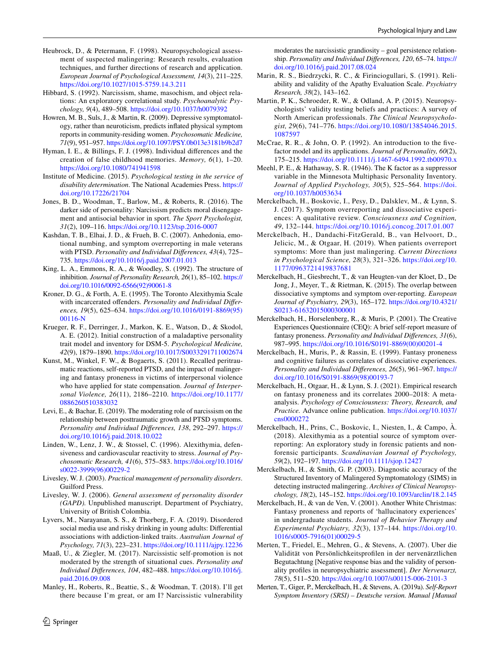- <span id="page-17-28"></span>Heubrock, D., & Petermann, F. (1998). Neuropsychological assessment of suspected malingering: Research results, evaluation techniques, and further directions of research and application. *European Journal of Psychological Assessment, 14*(3), 211–225. <https://doi.org/10.1027/1015-5759.14.3.211>
- <span id="page-17-23"></span>Hibbard, S. (1992). Narcissism, shame, masochism, and object relations: An exploratory correlational study. *Psychoanalytic Psychology, 9*(4), 489–508.<https://doi.org/10.1037/h0079392>
- <span id="page-17-10"></span>Howren, M. B., Suls, J., & Martin, R. (2009). Depressive symptomatology, rather than neuroticism, predicts infated physical symptom reports in community-residing women. *Psychosomatic Medicine, 71*(9), 951–957.<https://doi.org/10.1097/PSY.0b013e3181b9b2d7>
- <span id="page-17-19"></span>Hyman, I. E., & Billings, F. J. (1998). Individual diferences and the creation of false childhood memories. *Memory, 6*(1), 1–20. <https://doi.org/10.1080/741941598>
- <span id="page-17-0"></span>Institute of Medicine. (2015). *Psychological testing in the service of disability determination*. The National Academies Press. [https://](https://doi.org/10.17226/21704) [doi.org/10.17226/21704](https://doi.org/10.17226/21704)
- <span id="page-17-24"></span>Jones, B. D., Woodman, T., Barlow, M., & Roberts, R. (2016). The darker side of personality: Narcissism predicts moral disengagement and antisocial behavior in sport. *The Sport Psychologist, 31*(2), 109–116. <https://doi.org/10.1123/tsp.2016-0007>
- <span id="page-17-11"></span>Kashdan, T. B., Elhai, J. D., & Frueh, B. C. (2007). Anhedonia, emotional numbing, and symptom overreporting in male veterans with PTSD. *Personality and Individual Diferences, 43*(4), 725– 735. <https://doi.org/10.1016/j.paid.2007.01.013>
- <span id="page-17-20"></span>King, L. A., Emmons, R. A., & Woodley, S. (1992). The structure of inhibition. *Journal of Personality Research, 26*(1), 85–102. [https://](https://doi.org/10.1016/0092-6566(92)90061-8) [doi.org/10.1016/0092-6566\(92\)90061-8](https://doi.org/10.1016/0092-6566(92)90061-8)
- <span id="page-17-21"></span>Kroner, D. G., & Forth, A. E. (1995). The Toronto Alexithymia Scale with incarcerated ofenders. *Personality and Individual Diferences, 19*(5), 625–634. [https://doi.org/10.1016/0191-8869\(95\)](https://doi.org/10.1016/0191-8869(95)00116-N) [00116-N](https://doi.org/10.1016/0191-8869(95)00116-N)
- <span id="page-17-4"></span>Krueger, R. F., Derringer, J., Markon, K. E., Watson, D., & Skodol, A. E. (2012). Initial construction of a maladaptive personality trait model and inventory for DSM-5. *Psychological Medicine, 42*(9), 1879–1890.<https://doi.org/10.1017/S0033291711002674>
- <span id="page-17-8"></span>Kunst, M., Winkel, F. W., & Bogaerts, S. (2011). Recalled peritraumatic reactions, self-reported PTSD, and the impact of malingering and fantasy proneness in victims of interpersonal violence who have applied for state compensation. *Journal of Interpersonal Violence, 26*(11), 2186–2210. [https://doi.org/10.1177/](https://doi.org/10.1177/0886260510383032) [0886260510383032](https://doi.org/10.1177/0886260510383032)
- <span id="page-17-26"></span>Levi, E., & Bachar, E. (2019). The moderating role of narcissism on the relationship between posttraumatic growth and PTSD symptoms. *Personality and Individual Diferences, 138*, 292–297. [https://](https://doi.org/10.1016/j.paid.2018.10.022) [doi.org/10.1016/j.paid.2018.10.022](https://doi.org/10.1016/j.paid.2018.10.022)
- <span id="page-17-18"></span>Linden, W., Lenz, J. W., & Stossel, C. (1996). Alexithymia, defensiveness and cardiovascular reactivity to stress. *Journal of Psychosomatic Research, 41*(6), 575–583. [https://doi.org/10.1016/](https://doi.org/10.1016/s0022-3999(96)00229-2) [s0022-3999\(96\)00229-2](https://doi.org/10.1016/s0022-3999(96)00229-2)
- <span id="page-17-30"></span>Livesley, W. J. (2003). *Practical management of personality disorders*. Guilford Press.
- <span id="page-17-31"></span>Livesley, W. J. (2006). *General assessment of personality disorder (GAPD).* Unpublished manuscript. Department of Psychiatry, University of British Colombia.
- <span id="page-17-22"></span>Lyvers, M., Narayanan, S. S., & Thorberg, F. A. (2019). Disordered social media use and risky drinking in young adults: Diferential associations with addiction-linked traits. *Australian Journal of Psychology, 71*(3), 223–231.<https://doi.org/10.1111/ajpy.12236>
- <span id="page-17-27"></span>Maaß, U., & Ziegler, M. (2017). Narcissistic self-promotion is not moderated by the strength of situational cues. *Personality and Individual Diferences, 104*, 482–488. [https://doi.org/10.1016/j.](https://doi.org/10.1016/j.paid.2016.09.008) [paid.2016.09.008](https://doi.org/10.1016/j.paid.2016.09.008)
- <span id="page-17-25"></span>Manley, H., Roberts, R., Beattie, S., & Woodman, T. (2018). I'll get there because I'm great, or am I? Narcissistic vulnerability

 $\mathcal{D}$  Springer

moderates the narcissistic grandiosity – goal persistence relationship. *Personality and Individual Diferences, 120*, 65–74. [https://](https://doi.org/10.1016/j.paid.2017.08.024) [doi.org/10.1016/j.paid.2017.08.024](https://doi.org/10.1016/j.paid.2017.08.024)

- <span id="page-17-12"></span>Marin, R. S., Biedrzycki, R. C., & Firinciogullari, S. (1991). Reliability and validity of the Apathy Evaluation Scale. *Psychiatry Research, 38*(2), 143–162.
- <span id="page-17-1"></span>Martin, P. K., Schroeder, R. W., & Odland, A. P. (2015). Neuropsychologists' validity testing beliefs and practices: A survey of North American professionals. *The Clinical Neuropsychologist, 29*(6), 741–776. [https://doi.org/10.1080/13854046.2015.](https://doi.org/10.1080/13854046.2015.1087597) [1087597](https://doi.org/10.1080/13854046.2015.1087597)
- <span id="page-17-32"></span>McCrae, R. R., & John, O. P. (1992). An introduction to the fvefactor model and its applications. *Journal of Personality, 60*(2), 175–215. <https://doi.org/10.1111/j.1467-6494.1992.tb00970.x>
- <span id="page-17-29"></span>Meehl, P. E., & Hathaway, S. R. (1946). The K factor as a suppressor variable in the Minnesota Multiphasic Personality Inventory. *Journal of Applied Psychology, 30*(5), 525–564. [https://doi.](https://doi.org/10.1037/h0053634) [org/10.1037/h0053634](https://doi.org/10.1037/h0053634)
- <span id="page-17-13"></span>Merckelbach, H., Boskovic, I., Pesy, D., Dalsklev, M., & Lynn, S. J. (2017). Symptom overreporting and dissociative experiences: A qualitative review. *Consciousness and Cognition, 49*, 132–144.<https://doi.org/10.1016/j.concog.2017.01.007>
- <span id="page-17-2"></span>Merckelbach, H., Dandachi-FitzGerald, B., van Helvoort, D., Jelicic, M., & Otgaar, H. (2019). When patients overreport symptoms: More than just malingering. *Current Directions in Psychological Science, 28*(3), 321–326. [https://doi.org/10.](https://doi.org/10.1177/0963721419837681) [1177/0963721419837681](https://doi.org/10.1177/0963721419837681)
- <span id="page-17-9"></span>Merckelbach, H., Giesbrecht, T., & van Heugten-van der Kloet, D., De Jong, J., Meyer, T., & Rietman, K. (2015). The overlap between dissociative symptoms and symptom over-reporting. *European Journal of Psychiatry, 29*(3), 165–172. [https://doi.org/10.4321/](https://doi.org/10.4321/S0213-61632015000300001) [S0213-61632015000300001](https://doi.org/10.4321/S0213-61632015000300001)
- <span id="page-17-15"></span>Merckelbach, H., Horselenberg, R., & Muris, P. (2001). The Creative Experiences Questionnaire (CEQ): A brief self-report measure of fantasy proneness. *Personality and Individual Diferences, 31*(6), 987–995. [https://doi.org/10.1016/S0191-8869\(00\)00201-4](https://doi.org/10.1016/S0191-8869(00)00201-4)
- <span id="page-17-14"></span>Merckelbach, H., Muris, P., & Rassin, E. (1999). Fantasy proneness and cognitive failures as correlates of dissociative experiences. *Personality and Individual Diferences, 26*(5), 961–967. [https://](https://doi.org/10.1016/S0191-8869(98)00193-7) [doi.org/10.1016/S0191-8869\(98\)00193-7](https://doi.org/10.1016/S0191-8869(98)00193-7)
- <span id="page-17-16"></span>Merckelbach, H., Otgaar, H., & Lynn, S. J. (2021). Empirical research on fantasy proneness and its correlates 2000–2018: A metaanalysis. *Psychology of Consciousness: Theory, Research, and Practice.* Advance online publication. [https://doi.org/10.1037/](https://doi.org/10.1037/cns0000272) [cns0000272](https://doi.org/10.1037/cns0000272)
- <span id="page-17-7"></span>Merckelbach, H., Prins, C., Boskovic, I., Niesten, I., & Campo, À. (2018). Alexithymia as a potential source of symptom overreporting: An exploratory study in forensic patients and nonforensic participants. *Scandinavian Journal of Psychology, 59*(2), 192–197. <https://doi.org/10.1111/sjop.12427>
- <span id="page-17-5"></span>Merckelbach, H., & Smith, G. P. (2003). Diagnostic accuracy of the Structured Inventory of Malingered Symptomatology (SIMS) in detecting instructed malingering. *Archives of Clinical Neuropsychology, 18*(2), 145–152.<https://doi.org/10.1093/arclin/18.2.145>
- <span id="page-17-17"></span>Merckelbach, H., & van de Ven, V. (2001). Another White Christmas: Fantasy proneness and reports of 'hallucinatory experiences' in undergraduate students. *Journal of Behavior Therapy and Experimental Psychiatry, 32*(3), 137–144. [https://doi.org/10.](https://doi.org/10.1016/s0005-7916(01)00029-5) [1016/s0005-7916\(01\)00029-5](https://doi.org/10.1016/s0005-7916(01)00029-5)
- <span id="page-17-3"></span>Merten, T., Friedel, E., Mehren, G., & Stevens, A. (2007). Uber die Validität von Persönlichkeitsproflen in der nervenärztlichen Begutachtung [Negative response bias and the validity of personality profles in neuropsychiatric assessment]. *Der Nervenarzt, 78*(5), 511–520. <https://doi.org/10.1007/s00115-006-2101-3>
- <span id="page-17-6"></span>Merten, T., Giger, P., Merckelbach, H., & Stevens, A. (2019a). *Self-Report Symptom Inventory (SRSI) – Deutsche version. Manual [Manual*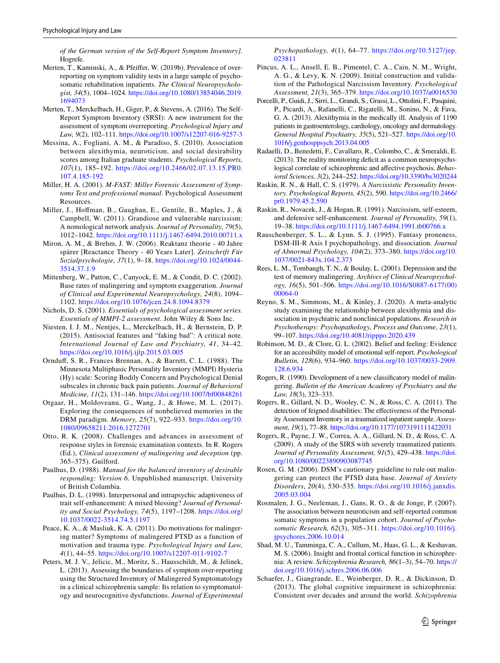*of the German version of the Self-Report Symptom Inventory].* Hogrefe.

- <span id="page-18-9"></span>Merten, T., Kaminski, A., & Pfeifer, W. (2019b). Prevalence of overreporting on symptom validity tests in a large sample of psychosomatic rehabilitation inpatients. *The Clinical Neuropsychologist, 34*(5), 1004–1024. [https://doi.org/10.1080/13854046.2019.](https://doi.org/10.1080/13854046.2019.1694073) [1694073](https://doi.org/10.1080/13854046.2019.1694073)
- <span id="page-18-10"></span>Merten, T., Merckelbach, H., Giger, P., & Stevens, A. (2016). The Self-Report Symptom Inventory (SRSI): A new instrument for the assessment of symptom overreporting. *Psychological Injury and Law, 9*(2), 102–111.<https://doi.org/10.1007/s12207-016-9257-3>
- <span id="page-18-24"></span>Messina, A., Fogliani, A. M., & Paradiso, S. (2010). Association between alexithymia, neuroticism, and social desirability scores among Italian graduate students. *Psychological Reports, 107*(1), 185–192. [https://doi.org/10.2466/02.07.13.15.PR0.](https://doi.org/10.2466/02.07.13.15.PR0.107.4.185-192) [107.4.185-192](https://doi.org/10.2466/02.07.13.15.PR0.107.4.185-192)
- <span id="page-18-13"></span>Miller, H. A. (2001). *M-FAST: Miller Forensic Assessment of Symptoms Test and professional manual*. Psychological Assessment Resources.
- <span id="page-18-28"></span>Miller, J., Hofman, B., Gaughan, E., Gentile, B., Maples, J., & Campbell, W. (2011). Grandiose and vulnerable narcissism: A nomological network analysis. *Journal of Personality, 79*(5), 1012–1042. <https://doi.org/10.1111/j.1467-6494.2010.00711.x>
- <span id="page-18-6"></span>Miron, A. M., & Brehm, J. W. (2006). Reaktanz theorie - 40 Jahre spärer [Reactance Theory - 40 Years Later]. *Zeitschrift Für Sozialpsychologie, 37*(1), 9–18. [https://doi.org/10.1024/0044-](https://doi.org/10.1024/0044-3514.37.1.9) [3514.37.1.9](https://doi.org/10.1024/0044-3514.37.1.9)
- <span id="page-18-5"></span>Mittenberg, W., Patton, C., Canyock, E. M., & Condit, D. C. (2002). Base rates of malingering and symptom exaggeration. *Journal of Clinical and Experimental Neuropsychology, 24*(8), 1094– 1102. <https://doi.org/10.1076/jcen.24.8.1094.8379>
- <span id="page-18-31"></span>Nichols, D. S. (2001). *Essentials of psychological assessment series. Essentials of MMPI-2 assessment.* John Wiley & Sons Inc.
- <span id="page-18-2"></span>Niesten, I. J. M., Nentjes, L., Merckelbach, H., & Bernstein, D. P. (2015). Antisocial features and "faking bad": A critical note. *International Journal of Law and Psychiatry, 41*, 34–42. <https://doi.org/10.1016/j.ijlp.2015.03.005>
- <span id="page-18-29"></span>Ornduf, S. R., Frances Brennan, A., & Barrett, C. L. (1988). The Minnesota Multiphasic Personality Inventory (MMPI) Hysteria (Hy) scale: Scoring Bodily Concern and Psychological Denial subscales in chronic back pain patients. *Journal of Behavioral Medicine, 11*(2), 131–146. <https://doi.org/10.1007/bf00848261>
- <span id="page-18-25"></span>Otgaar, H., Moldoveanu, G., Wang, J., & Howe, M. L. (2017). Exploring the consequences of nonbelieved memories in the DRM paradigm. *Memory, 25*(7), 922–933. [https://doi.org/10.](https://doi.org/10.1080/09658211.2016.1272701) [1080/09658211.2016.1272701](https://doi.org/10.1080/09658211.2016.1272701)
- <span id="page-18-3"></span>Otto, R. K. (2008). Challenges and advances in assessment of response styles in forensic examination contexts. In R. Rogers (Ed.), *Clinical assessment of malingering and deception* (pp. 365–375). Guilford.
- <span id="page-18-1"></span>Paulhus, D. (1988). *Manual for the balanced inventory of desirable responding: Version 6.* Unpublished manuscript. University of British Columbia.
- <span id="page-18-27"></span>Paulhus, D. L. (1998). Interpersonal and intrapsychic adaptiveness of trait self-enhancement: A mixed blessing? *Journal of Personality and Social Psychology, 74*(5), 1197–1208. [https://doi.org/](https://doi.org/10.1037/0022-3514.74.5.1197) [10.1037/0022-3514.74.5.1197](https://doi.org/10.1037/0022-3514.74.5.1197)
- <span id="page-18-18"></span>Peace, K. A., & Masliuk, K. A. (2011). Do motivations for malingering matter? Symptoms of malingered PTSD as a function of motivation and trauma type. *Psychological Injury and Law, 4*(1), 44–55.<https://doi.org/10.1007/s12207-011-9102-7>
- <span id="page-18-19"></span>Peters, M. J. V., Jelicic, M., Moritz, S., Hausschildt, M., & Jelinek, L. (2013). Assessing the boundaries of symptom over-reporting using the Structured Inventory of Malingered Symptomatology in a clinical schizophrenia sample: Its relation to symptomatology and neurocognitive dysfunctions. *Journal of Experimental*

*Psychopathology, 4*(1), 64–77. [https://doi.org/10.5127/jep.](https://doi.org/10.5127/jep.023811) [023811](https://doi.org/10.5127/jep.023811)

- <span id="page-18-23"></span>Pincus, A. L., Ansell, E. B., Pimentel, C. A., Cain, N. M., Wright, A. G., & Levy, K. N. (2009). Initial construction and validation of the Pathological Narcissism Inventory. *Psychological Assessment, 21*(3), 365–379.<https://doi.org/10.1037/a0016530>
- <span id="page-18-14"></span>Porcelli, P., Guidi, J., Sirri, L., Grandi, S., Grassi, L., Ottolini, F., Pasquini, P., Picardi, A., Rafanelli, C., Rigatelli, M., Sonino, N., & Fava, G. A. (2013). Alexithymia in the medically ill. Analysis of 1190 patients in gastroenterology, cardiology, oncology and dermatology. *General Hospital Psychiatry, 35*(5), 521–527. [https://doi.org/10.](https://doi.org/10.1016/j.genhosppsych.2013.04.005) [1016/j.genhosppsych.2013.04.005](https://doi.org/10.1016/j.genhosppsych.2013.04.005)
- <span id="page-18-20"></span>Radaelli, D., Benedetti, F., Cavallaro, R., Colombo, C., & Smeraldi, E. (2013). The reality monitoring deficit as a common neuropsychological correlate of schizophrenic and afective psychosis. *Behavioral Sciences, 3*(2), 244–252.<https://doi.org/10.3390/bs3020244>
- <span id="page-18-7"></span>Raskin, R. N., & Hall, C. S. (1979). *A Narcissistic Personality Inventory. Psychological Reports, 45*(2), 590. [https://doi.org/10.2466/](https://doi.org/10.2466/pr0.1979.45.2.590) [pr0.1979.45.2.590](https://doi.org/10.2466/pr0.1979.45.2.590)
- <span id="page-18-26"></span>Raskin, R., Novacek, J., & Hogan, R. (1991). Narcissism, self-esteem, and defensive self-enhancement. *Journal of Personality, 59*(1), 19–38.<https://doi.org/10.1111/j.1467-6494.1991.tb00766.x>
- <span id="page-18-17"></span>Rauschenberger, S. L., & Lynn, S. J. (1995). Fantasy proneness, DSM-III-R Axis I psychopathology, and dissociation. *Journal of Abnormal Psychology, 104*(2), 373–380. [https://doi.org/10.](https://doi.org/10.1037/0021-843x.104.2.373) [1037/0021-843x.104.2.373](https://doi.org/10.1037/0021-843x.104.2.373)
- <span id="page-18-11"></span>Rees, L. M., Tombaugh, T. N., & Boulay, L. (2001). Depression and the test of memory malingering. *Archives of Clinical Neuropsychology, 16*(5), 501–506. [https://doi.org/10.1016/S0887-6177\(00\)](https://doi.org/10.1016/S0887-6177(00)00064-0) [00064-0](https://doi.org/10.1016/S0887-6177(00)00064-0)
- <span id="page-18-15"></span>Reyno, S. M., Simmons, M., & Kinley, J. (2020). A meta-analytic study examining the relationship between alexithymia and dissociation in psychiatric and nonclinical populations. *Research in Psychotherapy: Psychopathology, Process and Outcome, 23*(1), 99–107. <https://doi.org/10.4081/ripppo.2020.439>
- <span id="page-18-12"></span>Robinson, M. D., & Clore, G. L. (2002). Belief and feeling: Evidence for an accessibility model of emotional self-report. *Psychological Bulletin, 128*(6), 934–960. [https://doi.org/10.1037/0033-2909.](https://doi.org/10.1037/0033-2909.128.6.934) [128.6.934](https://doi.org/10.1037/0033-2909.128.6.934)
- <span id="page-18-4"></span>Rogers, R. (1990). Development of a new classifcatory model of malingering. *Bulletin of the American Academy of Psychiatry and the Law, 18*(3), 323–333.
- <span id="page-18-16"></span>Rogers, R., Gillard, N. D., Wooley, C. N., & Ross, C. A. (2011). The detection of feigned disabilities: The efectiveness of the Personality Assessment Inventory in a traumatized inpatient sample. *Assessment, 19*(1), 77–88. <https://doi.org/10.1177/1073191111422031>
- <span id="page-18-8"></span>Rogers, R., Payne, J. W., Correa, A. A., Gillard, N. D., & Ross, C. A. (2009). A study of the SIRS with severely traumatized patients. *Journal of Personality Assessment, 91*(5), 429–438. [https://doi.](https://doi.org/10.1080/00223890903087745) [org/10.1080/00223890903087745](https://doi.org/10.1080/00223890903087745)
- <span id="page-18-0"></span>Rosen, G. M. (2006). DSM's cautionary guideline to rule out malingering can protect the PTSD data base. *Journal of Anxiety Disorders*, *20*(4), 530–535. [https://doi.org/10.1016/j.janxdis.](https://doi.org/10.1016/j.janxdis.2005.03.004) [2005.03.004](https://doi.org/10.1016/j.janxdis.2005.03.004)
- <span id="page-18-30"></span>Rosmalen, J. G., Neeleman, J., Gans, R. O., & de Jonge, P. (2007). The association between neuroticism and self-reported common somatic symptoms in a population cohort. *Journal of Psychosomatic Research, 62*(3), 305–311. [https://doi.org/10.1016/j.](https://doi.org/10.1016/j.jpsychores.2006.10.014) [jpsychores.2006.10.014](https://doi.org/10.1016/j.jpsychores.2006.10.014)
- <span id="page-18-21"></span>Shad, M. U., Tamminga, C. A., Cullum, M., Haas, G. L., & Keshavan, M. S. (2006). Insight and frontal cortical function in schizophrenia: A review. *Schizophrenia Research, 86*(1–3), 54–70. [https://](https://doi.org/10.1016/j.schres.2006.06.006) [doi.org/10.1016/j.schres.2006.06.006](https://doi.org/10.1016/j.schres.2006.06.006)
- <span id="page-18-22"></span>Schaefer, J., Giangrande, E., Weinberger, D. R., & Dickinson, D. (2013). The global cognitive impairment in schizophrenia: Consistent over decades and around the world. *Schizophrenia*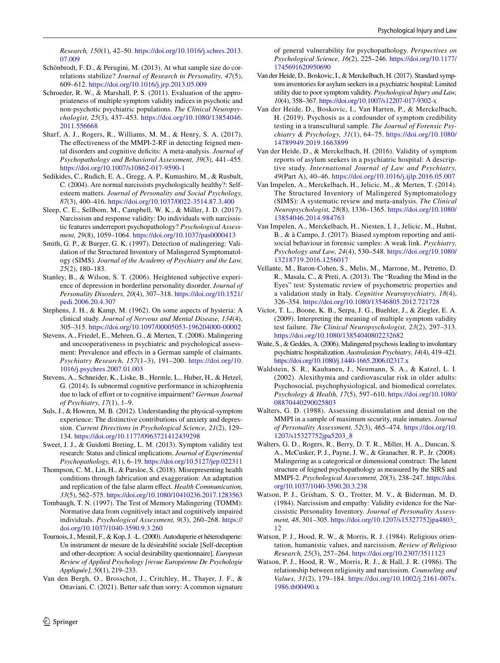*Research, 150*(1), 42–50. [https://doi.org/10.1016/j.schres.2013.](https://doi.org/10.1016/j.schres.2013.07.009) [07.009](https://doi.org/10.1016/j.schres.2013.07.009)

- <span id="page-19-26"></span>Schönbrodt, F. D., & Perugini, M. (2013). At what sample size do correlations stabilize? *Journal of Research in Personality, 47*(5), 609–612. <https://doi.org/10.1016/j.jrp.2013.05.009>
- <span id="page-19-14"></span>Schroeder, R. W., & Marshall, P. S. (2011). Evaluation of the appropriateness of multiple symptom validity indices in psychotic and non-psychotic psychiatric populations. *The Clinical Neuropsychologist, 25*(3), 437–453. [https://doi.org/10.1080/13854046.](https://doi.org/10.1080/13854046.2011.556668) [2011.556668](https://doi.org/10.1080/13854046.2011.556668)
- <span id="page-19-6"></span>Sharf, A. J., Rogers, R., Williams, M. M., & Henry, S. A. (2017). The effectiveness of the MMPI-2-RF in detecting feigned mental disorders and cognitive deficits: A meta-analysis. *Journal of Psychopathology and Behavioral Assessment, 39*(3), 441–455. <https://doi.org/10.1007/s10862-017-9590-1>
- <span id="page-19-21"></span>Sedikides, C., Rudich, E. A., Gregg, A. P., Kumashiro, M., & Rusbult, C. (2004). Are normal narcissists psychologically healthy?: Selfesteem matters. *Journal of Personality and Social Psychology, 87*(3), 400–416. <https://doi.org/10.1037/0022-3514.87.3.400>
- <span id="page-19-23"></span>Sleep, C. E., Sellbom, M., Campbell, W. K., & Miller, J. D. (2017). Narcissism and response validity: Do individuals with narcissistic features underreport psychopathology? *Psychological Assessment, 29*(8), 1059–1064.<https://doi.org/10.1037/pas0000413>
- <span id="page-19-4"></span>Smith, G. P., & Burger, G. K. (1997). Detection of malingering: Validation of the Structured Inventory of Malingered Symptomatology (SIMS). *Journal of the Academy of Psychiatry and the Law, 25*(2), 180–183.
- <span id="page-19-8"></span>Stanley, B., & Wilson, S. T. (2006). Heightened subjective experience of depression in borderline personality disorder. *Journal of Personality Disorders, 20*(4), 307–318. [https://doi.org/10.1521/](https://doi.org/10.1521/pedi.2006.20.4.307) [pedi.2006.20.4.307](https://doi.org/10.1521/pedi.2006.20.4.307)
- <span id="page-19-24"></span>Stephens, J. H., & Kamp, M. (1962). On some aspects of hysteria: A clinical study. *Journal of Nervous and Mental Disease, 134*(4), 305–315. <https://doi.org/10.1097/00005053-196204000-00002>
- <span id="page-19-7"></span>Stevens, A., Friedel, E., Mehren, G., & Merten, T. (2008). Malingering and uncooperativeness in psychiatric and psychological assessment: Prevalence and efects in a German sample of claimants. *Psychiatry Research, 157*(1–3), 191–200. [https://doi.org/10.](https://doi.org/10.1016/j.psychres.2007.01.003) [1016/j.psychres.2007.01.003](https://doi.org/10.1016/j.psychres.2007.01.003)
- <span id="page-19-15"></span>Stevens, A., Schneider, K., Liske, B., Hermle, L., Huber, H., & Hetzel, G. (2014). Is subnormal cognitive performance in schizophrenia due to lack of effort or to cognitive impairment? *German Journal of Psychiatry, 17*(1), 1–9.
- <span id="page-19-9"></span>Suls, J., & Howren, M. B. (2012). Understanding the physical-symptom experience: The distinctive contributions of anxiety and depression. *Current Directions in Psychological Science, 21*(2), 129– 134. <https://doi.org/10.1177/0963721412439298>
- <span id="page-19-1"></span>Sweet, J. J., & Guidotti Breting, L. M. (2013). Symptom validity test research: Status and clinical implications. *Journal of Experimental Psychopathology, 4*(1), 6–19.<https://doi.org/10.5127/jep.022311>
- <span id="page-19-2"></span>Thompson, C. M., Lin, H., & Parsloe, S. (2018). Misrepresenting health conditions through fabrication and exaggeration: An adaptation and replication of the false alarm efect. *Health Communication, 33*(5), 562–575.<https://doi.org/10.1080/10410236.2017.1283563>
- <span id="page-19-10"></span>Tombaugh, T. N. (1997). The Test of Memory Malingering (TOMM): Normative data from cognitively intact and cognitively impaired individuals. *Psychological Assessment, 9*(3), 260–268. [https://](https://doi.org/10.1037/1040-3590.9.3.260) [doi.org/10.1037/1040-3590.9.3.260](https://doi.org/10.1037/1040-3590.9.3.260)
- <span id="page-19-22"></span>Tournois, J., Mesnil, F., & Kop, J. -L. (2000). Autoduperie et héteroduperie: Un instrument de mesure de la désirabilité sociale [Self-deception and other-deception: A social desirability questionnaire]. *European Review of Applied Psychology [revue Européenne De Psychologie Appliquée], 50*(1), 219–233.
- <span id="page-19-29"></span>Van den Bergh, O., Brosschot, J., Critchley, H., Thayer, J. F., & Ottaviani, C. (2021). Better safe than sorry: A common signature

of general vulnerability for psychopathology. *Perspectives on Psychological Science, 16*(2), 225–246. [https://doi.org/10.1177/](https://doi.org/10.1177/1745691620950690) [1745691620950690](https://doi.org/10.1177/1745691620950690)

- <span id="page-19-12"></span>Van der Heide, D., Boskovic, I., & Merckelbach, H. (2017). Standard symptom inventories for asylum seekers in a psychiatric hospital: Limited utility due to poor symptom validity. *Psychological Injury and Law, 10*(4), 358–367.<https://doi.org/10.1007/s12207-017-9302-x>
- <span id="page-19-13"></span>Van der Heide, D., Boskovic, I., Van Harten, P., & Merckelbach, H. (2019). Psychosis as a confounder of symptom credibility testing in a transcultural sample. *The Journal of Forensic Psychiatry & Psychology, 31*(1), 64–75. [https://doi.org/10.1080/](https://doi.org/10.1080/14789949.2019.1663899) [14789949.2019.1663899](https://doi.org/10.1080/14789949.2019.1663899)
- <span id="page-19-5"></span>Van der Heide, D., & Merckelbach, H. (2016). Validity of symptom reports of asylum seekers in a psychiatric hospital: A descriptive study. *International Journal of Law and Psychiatry, 49*(Part A), 40–46.<https://doi.org/10.1016/j.ijlp.2016.05.007>
- <span id="page-19-11"></span>Van Impelen, A., Merckelbach, H., Jelicic, M., & Merten, T. (2014). The Structured Inventory of Malingered Symptomatology (SIMS): A systematic review and meta-analysis. *The Clinical Neuropsychologist, 28*(8), 1336–1365. [https://doi.org/10.1080/](https://doi.org/10.1080/13854046.2014.984763) [13854046.2014.984763](https://doi.org/10.1080/13854046.2014.984763)
- <span id="page-19-3"></span>Van Impelen, A., Merckelbach, H., Niesten, I. J., Jelicic, M., Huhnt, B., & à Campo, J. (2017). Biased symptom reporting and antisocial behaviour in forensic samples: A weak link. *Psychiatry, Psychology and Law, 24*(4), 530–548. [https://doi.org/10.1080/](https://doi.org/10.1080/13218719.2016.1256017) [13218719.2016.1256017](https://doi.org/10.1080/13218719.2016.1256017)
- <span id="page-19-17"></span>Vellante, M., Baron-Cohen, S., Melis, M., Marrone, M., Petretto, D. R., Masala, C., & Preti, A. (2013). The "Reading the Mind in the Eyes" test: Systematic review of psychometric properties and a validation study in Italy. *Cognitive Neuropsychiatry, 18*(4), 326–354.<https://doi.org/10.1080/13546805.2012.721728>
- <span id="page-19-28"></span>Victor, T. L., Boone, K. B., Serpa, J. G., Buehler, J., & Ziegler, E. A. (2009). Interpreting the meaning of multiple symptom validity test failure. *The Clinical Neuropsychologist, 23*(2), 297–313. <https://doi.org/10.1080/13854040802232682>
- <span id="page-19-0"></span>Waite, S., & Geddes, A. (2006). Malingered psychosis leading to involuntary psychiatric hospitalization. *Australasian Psychiatry, 14*(4), 419–421. <https://doi.org/10.1080/j.1440-1665.2006.02317.x>
- <span id="page-19-16"></span>Waldstein, S. R., Kauhanen, J., Neumann, S. A., & Katzel, L. I. (2002). Alexithymia and cardiovascular risk in older adults: Psychosocial, psychophysiological, and biomedical correlates. *Psychology & Health, 17*(5), 597–610. [https://doi.org/10.1080/](https://doi.org/10.1080/08870440290025803) [08870440290025803](https://doi.org/10.1080/08870440290025803)
- <span id="page-19-27"></span>Walters, G. D. (1988). Assessing dissimulation and denial on the MMPI in a sample of maximum security, male inmates. *Journal of Personality Assessment, 52*(3), 465–474. [https://doi.org/10.](https://doi.org/10.1207/s15327752jpa5203_8) [1207/s15327752jpa5203\\_8](https://doi.org/10.1207/s15327752jpa5203_8)
- <span id="page-19-25"></span>Walters, G. D., Rogers, R., Berry, D. T. R., Miller, H. A., Duncan, S. A., McCusker, P. J., Payne, J. W., & Granacher, R. P., Jr. (2008). Malingering as a categorical or dimensional construct: The latent structure of feigned psychopathology as measured by the SIRS and MMPI-2. *Psychological Assessment, 20*(3), 238–247. [https://doi.](https://doi.org/10.1037/1040-3590.20.3.238) [org/10.1037/1040-3590.20.3.238](https://doi.org/10.1037/1040-3590.20.3.238)
- <span id="page-19-18"></span>Watson, P. J., Grisham, S. O., Trotter, M. V., & Biderman, M. D. (1984). Narcissism and empathy: Validity evidence for the Narcissistic Personality Inventory. *Journal of Personality Assessment, 48*, 301–305. [https://doi.org/10.1207/s15327752jpa4803\\_](https://doi.org/10.1207/s15327752jpa4803_12) [12](https://doi.org/10.1207/s15327752jpa4803_12)
- <span id="page-19-19"></span>Watson, P. J., Hood, R. W., & Morris, R. J. (1984). Religious orientation, humanistic values, and narcissism. *Review of Religious Research, 25*(3), 257–264.<https://doi.org/10.2307/3511123>
- <span id="page-19-20"></span>Watson, P. J., Hood, R. W., Morris, R. J., & Hall, J. R. (1986). The relationship between religiosity and narcissism. *Counseling and Values, 31*(2), 179–184. [https://doi.org/10.1002/j.2161-007x.](https://doi.org/10.1002/j.2161-007x.1986.tb00490.x) [1986.tb00490.x](https://doi.org/10.1002/j.2161-007x.1986.tb00490.x)